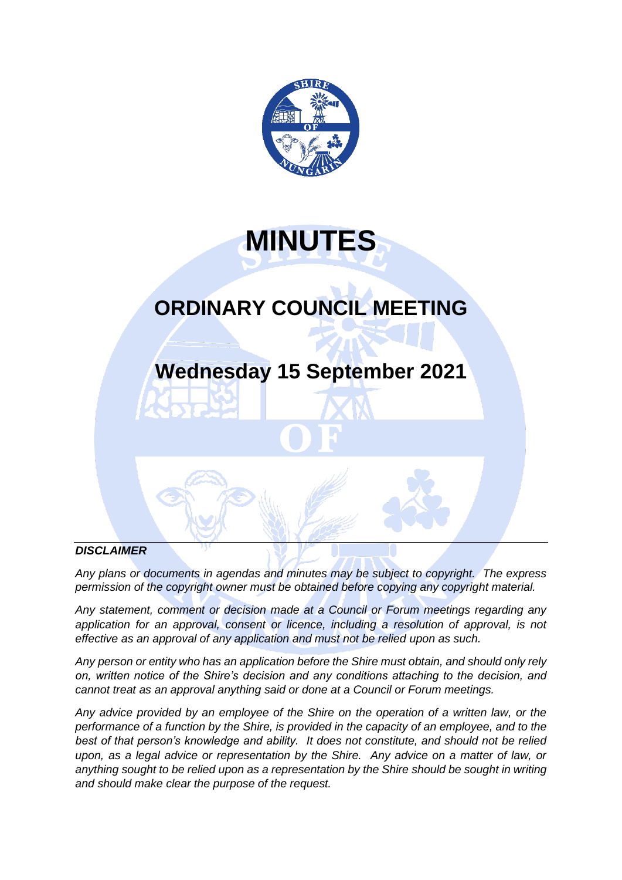

# **MINUTES**

# **ORDINARY COUNCIL MEETING**

# **Wednesday 15 September 2021**

# *DISCLAIMER*

*Any plans or documents in agendas and minutes may be subject to copyright. The express permission of the copyright owner must be obtained before copying any copyright material.*

*Any statement, comment or decision made at a Council or Forum meetings regarding any*  application for an approval, consent or licence, including a resolution of approval, is not *effective as an approval of any application and must not be relied upon as such.*

*Any person or entity who has an application before the Shire must obtain, and should only rely on, written notice of the Shire's decision and any conditions attaching to the decision, and cannot treat as an approval anything said or done at a Council or Forum meetings.*

*Any advice provided by an employee of the Shire on the operation of a written law, or the performance of a function by the Shire, is provided in the capacity of an employee, and to the best of that person's knowledge and ability. It does not constitute, and should not be relied upon, as a legal advice or representation by the Shire. Any advice on a matter of law, or anything sought to be relied upon as a representation by the Shire should be sought in writing and should make clear the purpose of the request.*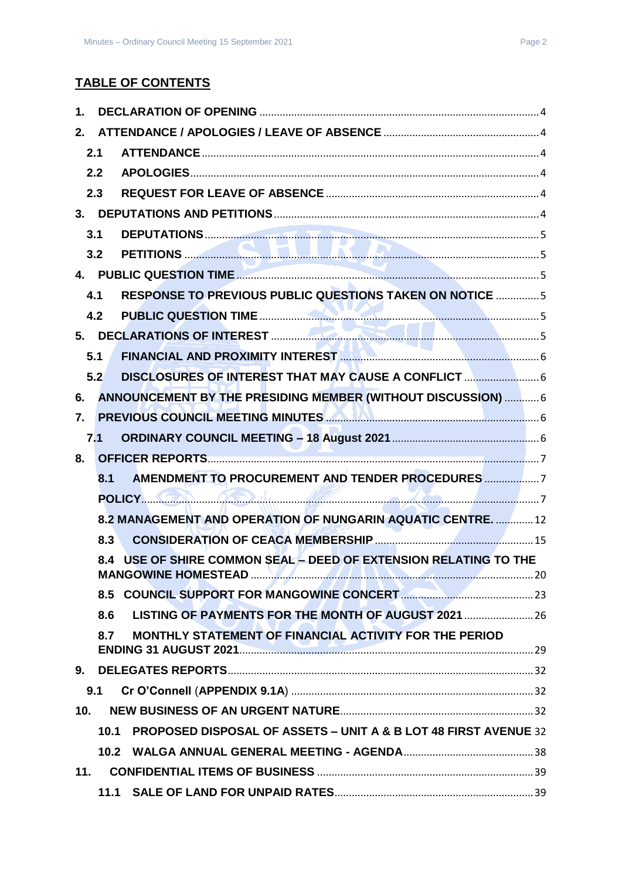# **TABLE OF CONTENTS**

| 1.               |      |                                                                  |  |
|------------------|------|------------------------------------------------------------------|--|
| 2.               |      |                                                                  |  |
|                  | 2.1  |                                                                  |  |
|                  | 2.2  |                                                                  |  |
|                  | 2.3  |                                                                  |  |
|                  |      |                                                                  |  |
|                  | 3.1  |                                                                  |  |
|                  | 3.2  |                                                                  |  |
|                  |      |                                                                  |  |
|                  | 4.1  | <b>RESPONSE TO PREVIOUS PUBLIC QUESTIONS TAKEN ON NOTICE 5</b>   |  |
|                  | 4.2  |                                                                  |  |
|                  |      |                                                                  |  |
|                  | 5.1  | FINANCIAL AND PROXIMITY INTEREST <b>MANUAL AND TENNISHIPS</b> 6  |  |
|                  | 5.2  | DISCLOSURES OF INTEREST THAT MAY CAUSE A CONFLICT                |  |
| 6.               |      | ANNOUNCEMENT BY THE PRESIDING MEMBER (WITHOUT DISCUSSION)  6     |  |
| $\overline{7}$ . |      | PREVIOUS COUNCIL MEETING MINUTES <b>AND ALL AND CONSTRUCTS</b> 6 |  |
|                  | 7.1  |                                                                  |  |
| 8.               |      |                                                                  |  |
|                  | 8.1  |                                                                  |  |
|                  |      | POLICY CAR A DILL 2007                                           |  |
|                  |      | 8.2 MANAGEMENT AND OPERATION OF NUNGARIN AQUATIC CENTRE.  12     |  |
|                  | 8.3  |                                                                  |  |
|                  |      | 8.4 USE OF SHIRE COMMON SEAL - DEED OF EXTENSION RELATING TO THE |  |
|                  |      |                                                                  |  |
|                  | 8.6  | LISTING OF PAYMENTS FOR THE MONTH OF AUGUST 2021                 |  |
|                  | 8.7  | MONTHLY STATEMENT OF FINANCIAL ACTIVITY FOR THE PERIOD           |  |
|                  |      |                                                                  |  |
|                  | 9.1  |                                                                  |  |
| 10 <sub>1</sub>  |      |                                                                  |  |
|                  | 10.1 | PROPOSED DISPOSAL OF ASSETS - UNIT A & B LOT 48 FIRST AVENUE 32  |  |
|                  |      |                                                                  |  |
| 11.              |      |                                                                  |  |
|                  |      |                                                                  |  |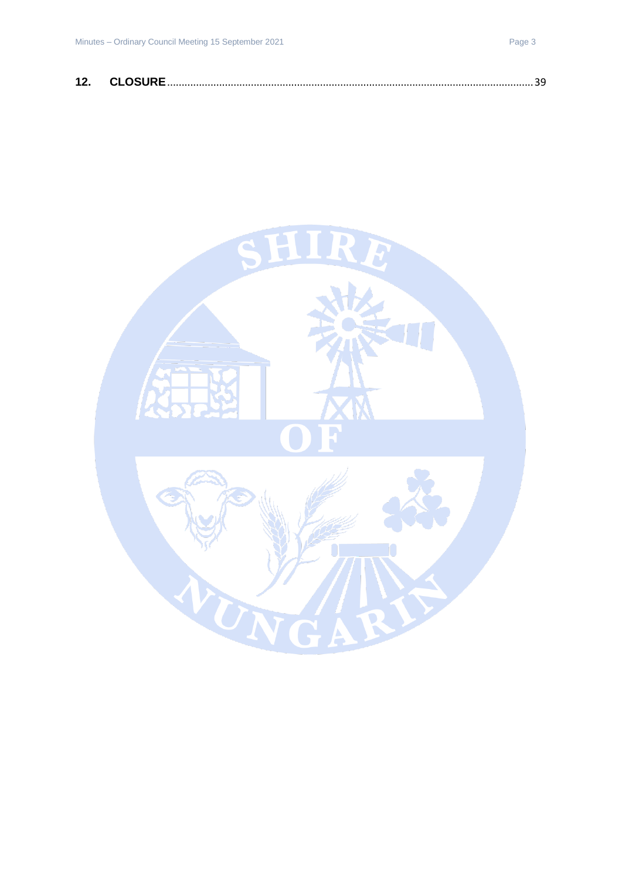| 12 | CLOSIDE |  |  |
|----|---------|--|--|
|----|---------|--|--|

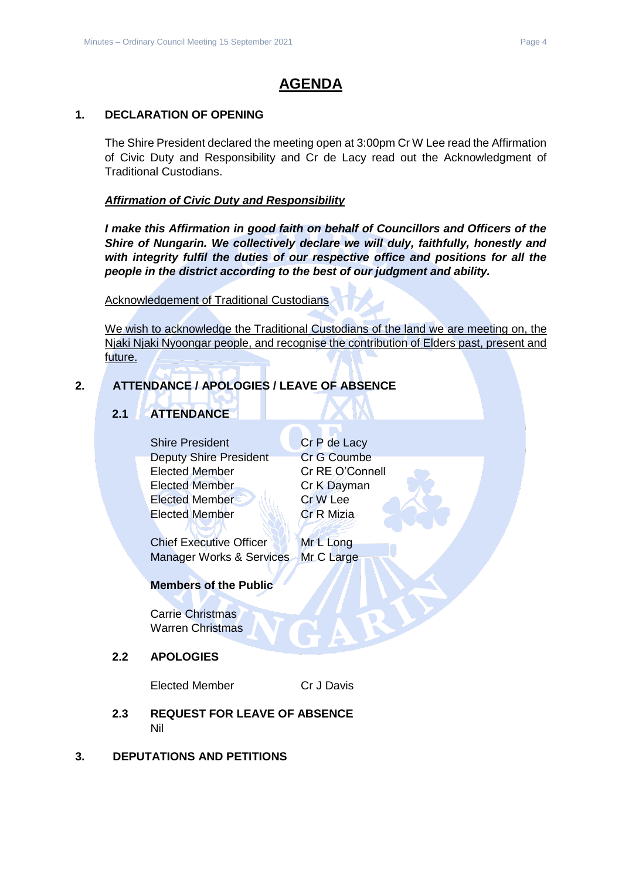# **AGENDA**

# <span id="page-3-0"></span>**1. DECLARATION OF OPENING**

The Shire President declared the meeting open at 3:00pm Cr W Lee read the Affirmation of Civic Duty and Responsibility and Cr de Lacy read out the Acknowledgment of Traditional Custodians.

# *Affirmation of Civic Duty and Responsibility*

*I make this Affirmation in good faith on behalf of Councillors and Officers of the Shire of Nungarin. We collectively declare we will duly, faithfully, honestly and with integrity fulfil the duties of our respective office and positions for all the people in the district according to the best of our judgment and ability.*

Acknowledgement of Traditional Custodians

We wish to acknowledge the Traditional Custodians of the land we are meeting on, the Njaki Njaki Nyoongar people, and recognise the contribution of Elders past, present and future.

# <span id="page-3-2"></span><span id="page-3-1"></span>**2. ATTENDANCE / APOLOGIES / LEAVE OF ABSENCE**

# **2.1 ATTENDANCE**

Shire President Cr P de Lacy Deputy Shire President Cr G Coumbe Elected Member Cr RE O'Connell Elected Member Cr K Dayman Elected Member Cr W Lee Elected Member Cr R Mizia

Chief Executive Officer Mr L Long Manager Works & Services Mr C Large

# **Members of the Public**

Carrie Christmas Warren Christmas

# <span id="page-3-3"></span>**2.2 APOLOGIES**

Elected Member Cr J Davis

- <span id="page-3-4"></span>**2.3 REQUEST FOR LEAVE OF ABSENCE** Nil
- <span id="page-3-5"></span>**3. DEPUTATIONS AND PETITIONS**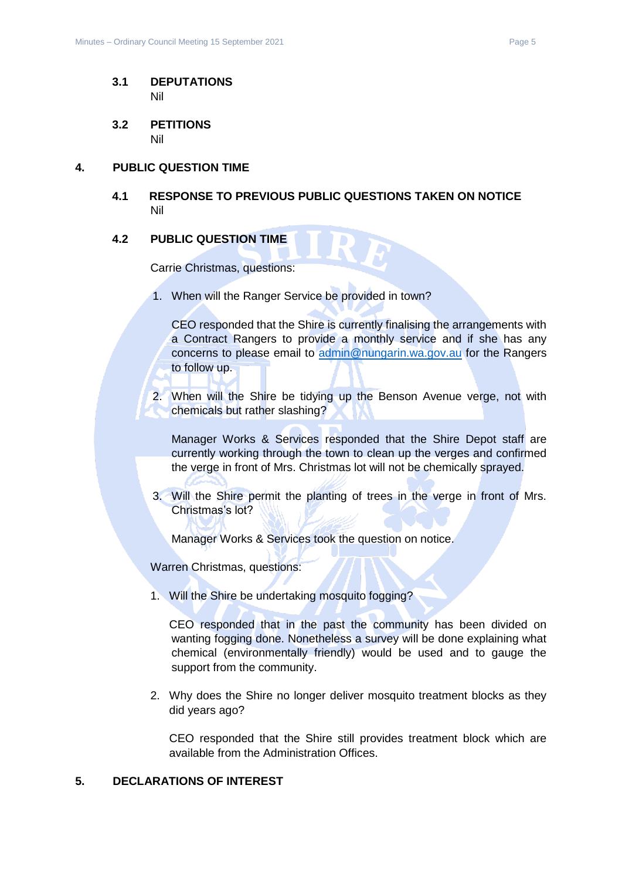- <span id="page-4-0"></span>**3.1 DEPUTATIONS** Nil
- <span id="page-4-1"></span>**3.2 PETITIONS** Nil

#### <span id="page-4-3"></span><span id="page-4-2"></span>**4. PUBLIC QUESTION TIME**

**4.1 RESPONSE TO PREVIOUS PUBLIC QUESTIONS TAKEN ON NOTICE** Nil

#### <span id="page-4-4"></span>**4.2 PUBLIC QUESTION TIME**

Carrie Christmas, questions:

1. When will the Ranger Service be provided in town?

CEO responded that the Shire is currently finalising the arrangements with a Contract Rangers to provide a monthly service and if she has any concerns to please email to [admin@nungarin.wa.gov.au](mailto:admin@nungarin.wa.gov.au) for the Rangers to follow up.

2. When will the Shire be tidying up the Benson Avenue verge, not with chemicals but rather slashing?

Manager Works & Services responded that the Shire Depot staff are currently working through the town to clean up the verges and confirmed the verge in front of Mrs. Christmas lot will not be chemically sprayed.

3. Will the Shire permit the planting of trees in the verge in front of Mrs. Christmas's lot?

Manager Works & Services took the question on notice.

Warren Christmas, questions:

1. Will the Shire be undertaking mosquito fogging?

CEO responded that in the past the community has been divided on wanting fogging done. Nonetheless a survey will be done explaining what chemical (environmentally friendly) would be used and to gauge the support from the community.

2. Why does the Shire no longer deliver mosquito treatment blocks as they did years ago?

CEO responded that the Shire still provides treatment block which are available from the Administration Offices.

#### <span id="page-4-5"></span>**5. DECLARATIONS OF INTEREST**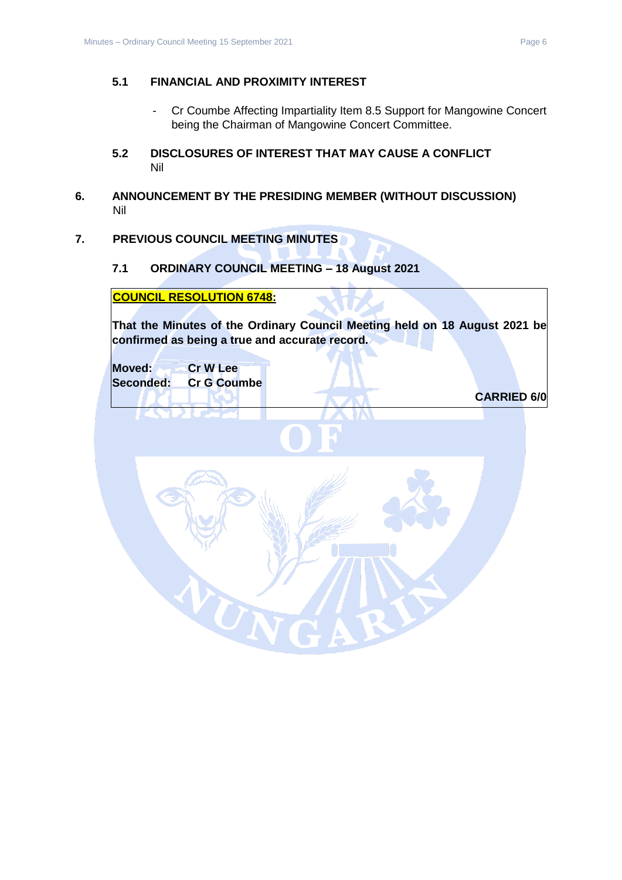# <span id="page-5-0"></span>**5.1 FINANCIAL AND PROXIMITY INTEREST**

- Cr Coumbe Affecting Impartiality Item 8.5 Support for Mangowine Concert being the Chairman of Mangowine Concert Committee.
- <span id="page-5-1"></span>**5.2 DISCLOSURES OF INTEREST THAT MAY CAUSE A CONFLICT** Nil
- <span id="page-5-2"></span>**6. ANNOUNCEMENT BY THE PRESIDING MEMBER (WITHOUT DISCUSSION)** Nil

# <span id="page-5-4"></span><span id="page-5-3"></span>**7. PREVIOUS COUNCIL MEETING MINUTES**

#### **7.1 ORDINARY COUNCIL MEETING – 18 August 2021**

 $\boldsymbol{U}_\mathrm{N}$ 

**COUNCIL RESOLUTION 6748:**

**That the Minutes of the Ordinary Council Meeting held on 18 August 2021 be confirmed as being a true and accurate record.**

**Moved: Cr W Lee Seconded: Cr G Coumbe**

**CARRIED 6/0**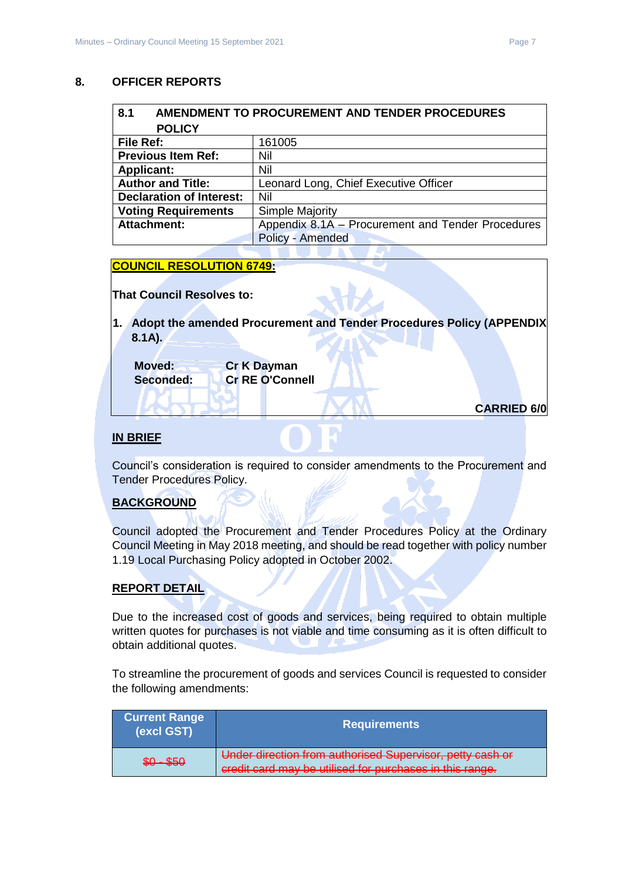# <span id="page-6-0"></span>**8. OFFICER REPORTS**

<span id="page-6-2"></span><span id="page-6-1"></span>

| 8.1                             | AMENDMENT TO PROCUREMENT AND TENDER PROCEDURES    |  |  |
|---------------------------------|---------------------------------------------------|--|--|
| <b>POLICY</b>                   |                                                   |  |  |
| File Ref:                       | 161005                                            |  |  |
| <b>Previous Item Ref:</b>       | Nil                                               |  |  |
| <b>Applicant:</b>               | Nil                                               |  |  |
| <b>Author and Title:</b>        | Leonard Long, Chief Executive Officer             |  |  |
| <b>Declaration of Interest:</b> | Nil                                               |  |  |
| <b>Voting Requirements</b>      | <b>Simple Majority</b>                            |  |  |
| <b>Attachment:</b>              | Appendix 8.1A - Procurement and Tender Procedures |  |  |
|                                 | Policy - Amended                                  |  |  |

# **COUNCIL RESOLUTION 6749:**

**That Council Resolves to:**

**1. Adopt the amended Procurement and Tender Procedures Policy (APPENDIX 8.1A).**

| Moved:    | <b>Cr K Dayman</b>     |
|-----------|------------------------|
| Seconded: | <b>Cr RE O'Connell</b> |
|           |                        |

```
CARRIED 6/0
```
# **IN BRIEF**

Council's consideration is required to consider amendments to the Procurement and Tender Procedures Policy.

# **BACKGROUND**

Council adopted the Procurement and Tender Procedures Policy at the Ordinary Council Meeting in May 2018 meeting, and should be read together with policy number 1.19 Local Purchasing Policy adopted in October 2002.

# **REPORT DETAIL**

Due to the increased cost of goods and services, being required to obtain multiple written quotes for purchases is not viable and time consuming as it is often difficult to obtain additional quotes.

To streamline the procurement of goods and services Council is requested to consider the following amendments:

| <b>Current Range</b><br>(excl GST) | <b>Requirements</b>                                                                                                   |
|------------------------------------|-----------------------------------------------------------------------------------------------------------------------|
| $$0 - $50$                         | Under direction from authorised Supervisor, petty cash or<br>credit card may be utilised for purchases in this range. |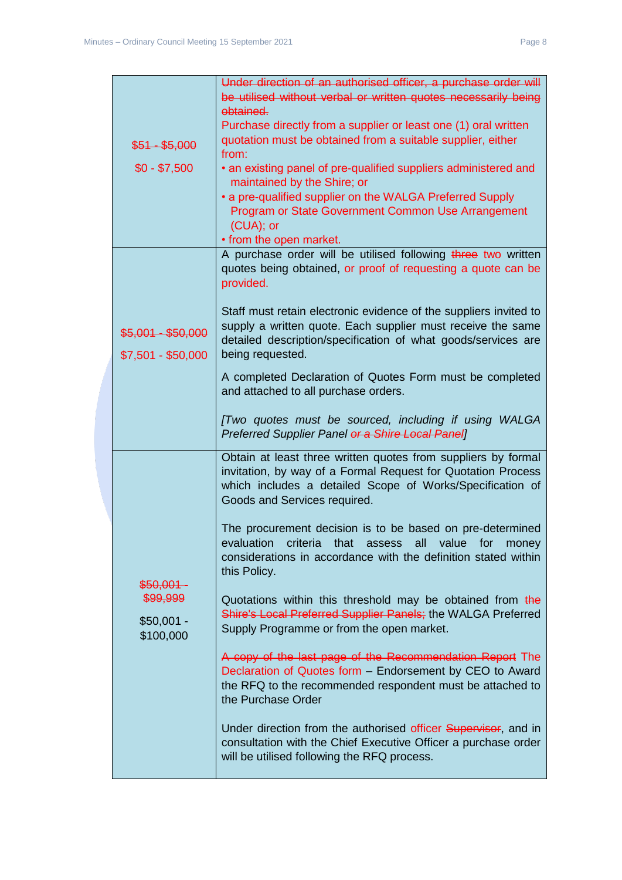| $$51 - $5,000$<br>$$0 - $7,500$                               | Under direction of an authorised officer, a purchase order will<br>be utilised without verbal or written quotes necessarily being<br>obtained.<br>Purchase directly from a supplier or least one (1) oral written<br>quotation must be obtained from a suitable supplier, either<br>from:<br>• an existing panel of pre-qualified suppliers administered and<br>maintained by the Shire; or<br>• a pre-qualified supplier on the WALGA Preferred Supply<br>Program or State Government Common Use Arrangement<br>(CUA); or<br>• from the open market.                                                                                                                                                                                                                                                                                                                                                                                                                                                    |
|---------------------------------------------------------------|----------------------------------------------------------------------------------------------------------------------------------------------------------------------------------------------------------------------------------------------------------------------------------------------------------------------------------------------------------------------------------------------------------------------------------------------------------------------------------------------------------------------------------------------------------------------------------------------------------------------------------------------------------------------------------------------------------------------------------------------------------------------------------------------------------------------------------------------------------------------------------------------------------------------------------------------------------------------------------------------------------|
| $$5,001 - $50,000$<br>$$7,501 - $50,000$                      | A purchase order will be utilised following three two written<br>quotes being obtained, or proof of requesting a quote can be<br>provided.<br>Staff must retain electronic evidence of the suppliers invited to<br>supply a written quote. Each supplier must receive the same<br>detailed description/specification of what goods/services are<br>being requested.<br>A completed Declaration of Quotes Form must be completed<br>and attached to all purchase orders.<br>[Two quotes must be sourced, including if using WALGA<br>Preferred Supplier Panel or a Shire Local Panel]                                                                                                                                                                                                                                                                                                                                                                                                                     |
| $$50,001-$<br><del>\$99,999</del><br>$$50,001 -$<br>\$100,000 | Obtain at least three written quotes from suppliers by formal<br>invitation, by way of a Formal Request for Quotation Process<br>which includes a detailed Scope of Works/Specification of<br>Goods and Services required.<br>The procurement decision is to be based on pre-determined<br>evaluation criteria that assess all value for money<br>considerations in accordance with the definition stated within<br>this Policy.<br>Quotations within this threshold may be obtained from the<br>Shire's Local Preferred Supplier Panels; the WALGA Preferred<br>Supply Programme or from the open market.<br>A copy of the last page of the Recommendation Report The<br>Declaration of Quotes form - Endorsement by CEO to Award<br>the RFQ to the recommended respondent must be attached to<br>the Purchase Order<br>Under direction from the authorised officer Supervisor, and in<br>consultation with the Chief Executive Officer a purchase order<br>will be utilised following the RFQ process. |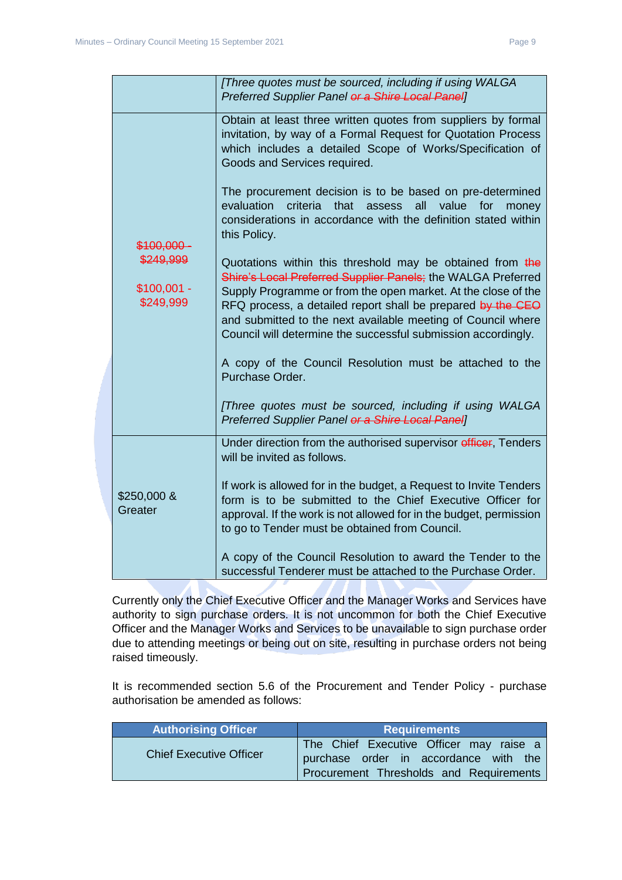|                                        | [Three quotes must be sourced, including if using WALGA<br>Preferred Supplier Panel or a Shire Local Panel]                                                                                                                                                                                                                                                                                                                                                                                                                                                                              |
|----------------------------------------|------------------------------------------------------------------------------------------------------------------------------------------------------------------------------------------------------------------------------------------------------------------------------------------------------------------------------------------------------------------------------------------------------------------------------------------------------------------------------------------------------------------------------------------------------------------------------------------|
|                                        | Obtain at least three written quotes from suppliers by formal<br>invitation, by way of a Formal Request for Quotation Process<br>which includes a detailed Scope of Works/Specification of<br>Goods and Services required.                                                                                                                                                                                                                                                                                                                                                               |
| \$100,000-                             | The procurement decision is to be based on pre-determined<br>evaluation<br>criteria<br>that<br>value<br>assess<br>all<br>for<br>money<br>considerations in accordance with the definition stated within<br>this Policy.                                                                                                                                                                                                                                                                                                                                                                  |
| \$249,999<br>$$100,001 -$<br>\$249,999 | Quotations within this threshold may be obtained from the<br>Shire's Local Preferred Supplier Panels; the WALGA Preferred<br>Supply Programme or from the open market. At the close of the<br>RFQ process, a detailed report shall be prepared by the CEO<br>and submitted to the next available meeting of Council where<br>Council will determine the successful submission accordingly.<br>A copy of the Council Resolution must be attached to the<br>Purchase Order.<br>[Three quotes must be sourced, including if using WALGA<br>Preferred Supplier Panel or a Shire Local Panel] |
| \$250,000 &<br>Greater                 | Under direction from the authorised supervisor efficer, Tenders<br>will be invited as follows.<br>If work is allowed for in the budget, a Request to Invite Tenders<br>form is to be submitted to the Chief Executive Officer for<br>approval. If the work is not allowed for in the budget, permission<br>to go to Tender must be obtained from Council.                                                                                                                                                                                                                                |
|                                        | A copy of the Council Resolution to award the Tender to the<br>successful Tenderer must be attached to the Purchase Order.                                                                                                                                                                                                                                                                                                                                                                                                                                                               |

Currently only the Chief Executive Officer and the Manager Works and Services have authority to sign purchase orders. It is not uncommon for both the Chief Executive Officer and the Manager Works and Services to be unavailable to sign purchase order due to attending meetings or being out on site, resulting in purchase orders not being raised timeously.

It is recommended section 5.6 of the Procurement and Tender Policy - purchase authorisation be amended as follows:

| <b>Authorising Officer</b>     | Requirements                                                                                                                |
|--------------------------------|-----------------------------------------------------------------------------------------------------------------------------|
| <b>Chief Executive Officer</b> | The Chief Executive Officer may raise a<br>purchase order in accordance with the<br>Procurement Thresholds and Requirements |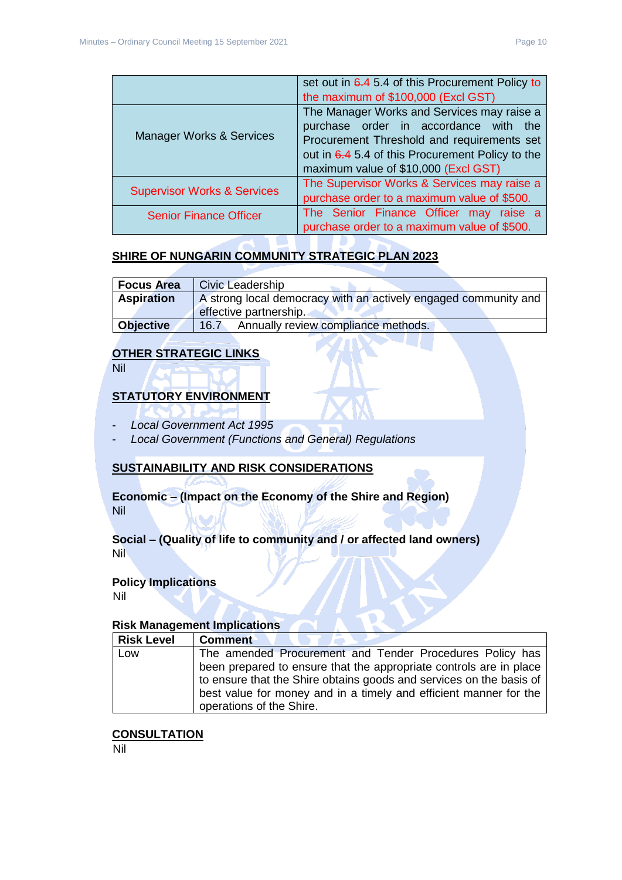|                                        | set out in 6.4 5.4 of this Procurement Policy to<br>the maximum of \$100,000 (Excl GST)                                                                                                                                       |
|----------------------------------------|-------------------------------------------------------------------------------------------------------------------------------------------------------------------------------------------------------------------------------|
| <b>Manager Works &amp; Services</b>    | The Manager Works and Services may raise a<br>purchase order in accordance with the<br>Procurement Threshold and requirements set<br>out in 6.4 5.4 of this Procurement Policy to the<br>maximum value of \$10,000 (Excl GST) |
| <b>Supervisor Works &amp; Services</b> | The Supervisor Works & Services may raise a<br>purchase order to a maximum value of \$500.                                                                                                                                    |
| <b>Senior Finance Officer</b>          | The Senior Finance Officer<br>raise a<br>may<br>purchase order to a maximum value of \$500.                                                                                                                                   |

# **SHIRE OF NUNGARIN COMMUNITY STRATEGIC PLAN 2023**

| <b>Focus Area</b>                                                                    | <b>Civic Leadership</b>                     |
|--------------------------------------------------------------------------------------|---------------------------------------------|
| <b>Aspiration</b><br>A strong local democracy with an actively engaged community and |                                             |
|                                                                                      | effective partnership.                      |
| <b>Objective</b>                                                                     | Annually review compliance methods.<br>16.7 |

# **OTHER STRATEGIC LINKS**

Nil

# **STATUTORY ENVIRONMENT**

- *Local Government Act 1995*
- *Local Government (Functions and General) Regulations*

# **SUSTAINABILITY AND RISK CONSIDERATIONS**

**Economic – (Impact on the Economy of the Shire and Region)** Nil

**Social – (Quality of life to community and / or affected land owners)** Nil

#### **Policy Implications**

Nil

# **Risk Management Implications**

| <b>Risk Level</b> | <b>Comment</b>                                                      |
|-------------------|---------------------------------------------------------------------|
| Low               | The amended Procurement and Tender Procedures Policy has            |
|                   | been prepared to ensure that the appropriate controls are in place  |
|                   | to ensure that the Shire obtains goods and services on the basis of |
|                   | best value for money and in a timely and efficient manner for the   |
|                   | operations of the Shire.                                            |

#### **CONSULTATION**

Nil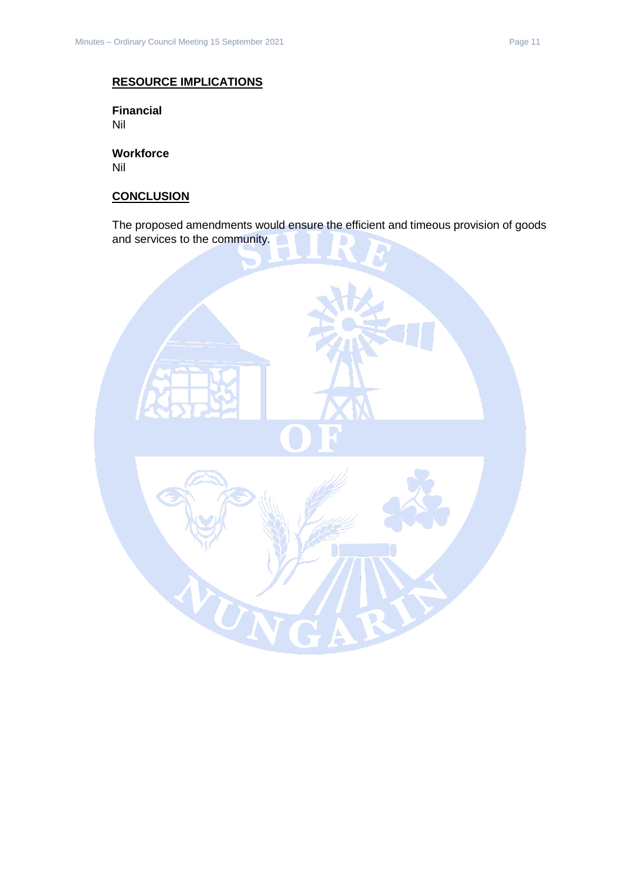# **RESOURCE IMPLICATIONS**

**Financial** Nil

**Workforce** Nil

# **CONCLUSION**

The proposed amendments would ensure the efficient and timeous provision of goods and services to the community.

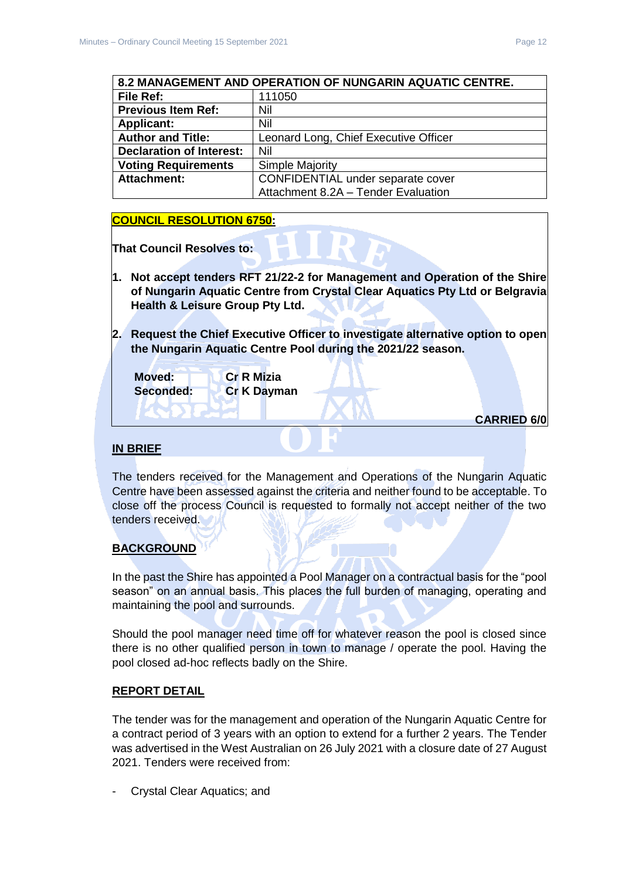<span id="page-11-0"></span>

| 8.2 MANAGEMENT AND OPERATION OF NUNGARIN AQUATIC CENTRE. |                                       |  |
|----------------------------------------------------------|---------------------------------------|--|
| File Ref:                                                | 111050                                |  |
| <b>Previous Item Ref:</b>                                | Nil                                   |  |
| <b>Applicant:</b>                                        | Nil                                   |  |
| <b>Author and Title:</b>                                 | Leonard Long, Chief Executive Officer |  |
| <b>Declaration of Interest:</b>                          | Nil                                   |  |
| <b>Voting Requirements</b>                               | <b>Simple Majority</b>                |  |
| <b>Attachment:</b>                                       | CONFIDENTIAL under separate cover     |  |
|                                                          | Attachment 8.2A - Tender Evaluation   |  |

# **COUNCIL RESOLUTION 6750:**

**That Council Resolves to:**

- **1. Not accept tenders RFT 21/22-2 for Management and Operation of the Shire of Nungarin Aquatic Centre from Crystal Clear Aquatics Pty Ltd or Belgravia Health & Leisure Group Pty Ltd.**
- **2. Request the Chief Executive Officer to investigate alternative option to open the Nungarin Aquatic Centre Pool during the 2021/22 season.**

| Moved:<br>Seconded: | <b>Cr R Mizia</b><br><b>Cr K Dayman</b> |                    |  |
|---------------------|-----------------------------------------|--------------------|--|
|                     |                                         | <b>CARRIED 6/0</b> |  |
|                     |                                         |                    |  |

# **IN BRIEF**

The tenders received for the Management and Operations of the Nungarin Aquatic Centre have been assessed against the criteria and neither found to be acceptable. To close off the process Council is requested to formally not accept neither of the two tenders received.

# **BACKGROUND**

In the past the Shire has appointed a Pool Manager on a contractual basis for the "pool season" on an annual basis. This places the full burden of managing, operating and maintaining the pool and surrounds.

Should the pool manager need time off for whatever reason the pool is closed since there is no other qualified person in town to manage / operate the pool. Having the pool closed ad-hoc reflects badly on the Shire.

# **REPORT DETAIL**

The tender was for the management and operation of the Nungarin Aquatic Centre for a contract period of 3 years with an option to extend for a further 2 years. The Tender was advertised in the West Australian on 26 July 2021 with a closure date of 27 August 2021. Tenders were received from:

- Crystal Clear Aquatics; and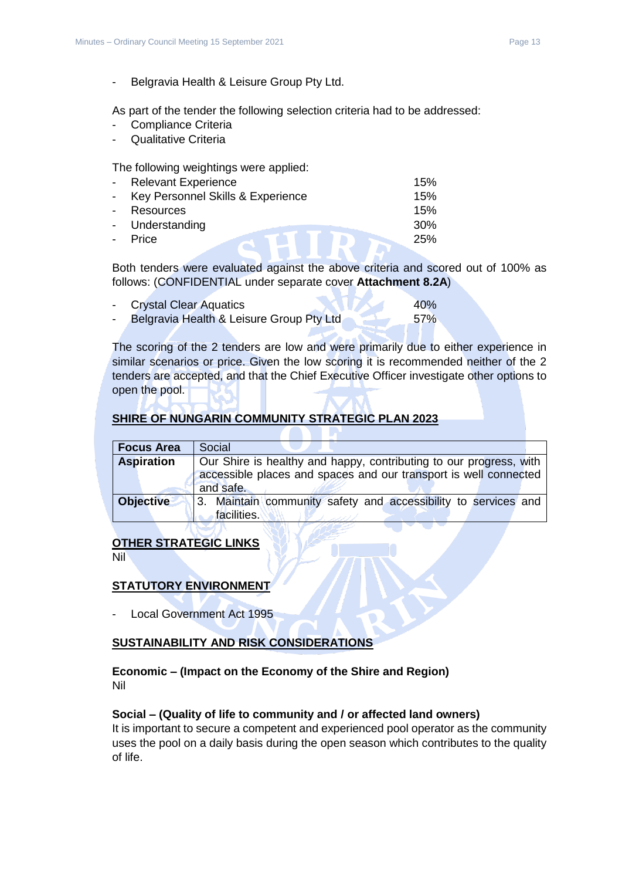- Belgravia Health & Leisure Group Pty Ltd.

As part of the tender the following selection criteria had to be addressed:

- Compliance Criteria
- Qualitative Criteria

The following weightings were applied:

| $\sim$ | <b>Relevant Experience</b>          | 15%    |
|--------|-------------------------------------|--------|
|        | - Key Personnel Skills & Experience | 15%    |
|        | - Resources                         | 15%    |
|        | - Understanding                     | $30\%$ |
|        | - Price                             | 25%    |
|        |                                     |        |

Both tenders were evaluated against the above criteria and scored out of 100% as follows: (CONFIDENTIAL under separate cover **Attachment 8.2A**)

| <b>Crystal Clear Aquatics</b>            | 40% |
|------------------------------------------|-----|
| Belgravia Health & Leisure Group Pty Ltd | 57% |

The scoring of the 2 tenders are low and were primarily due to either experience in similar scenarios or price. Given the low scoring it is recommended neither of the 2 tenders are accepted, and that the Chief Executive Officer investigate other options to open the pool.

# **SHIRE OF NUNGARIN COMMUNITY STRATEGIC PLAN 2023**

| <b>Focus Area</b> | Social                                                                                                                                              |
|-------------------|-----------------------------------------------------------------------------------------------------------------------------------------------------|
| <b>Aspiration</b> | Our Shire is healthy and happy, contributing to our progress, with<br>accessible places and spaces and our transport is well connected<br>and safe. |
| <b>Objective</b>  | 3. Maintain community safety and accessibility to services and<br>facilities.                                                                       |

#### **OTHER STRATEGIC LINKS**

Nil

# **STATUTORY ENVIRONMENT**

Local Government Act 1995

#### **SUSTAINABILITY AND RISK CONSIDERATIONS**

#### **Economic – (Impact on the Economy of the Shire and Region)** Nil

#### **Social – (Quality of life to community and / or affected land owners)**

It is important to secure a competent and experienced pool operator as the community uses the pool on a daily basis during the open season which contributes to the quality of life.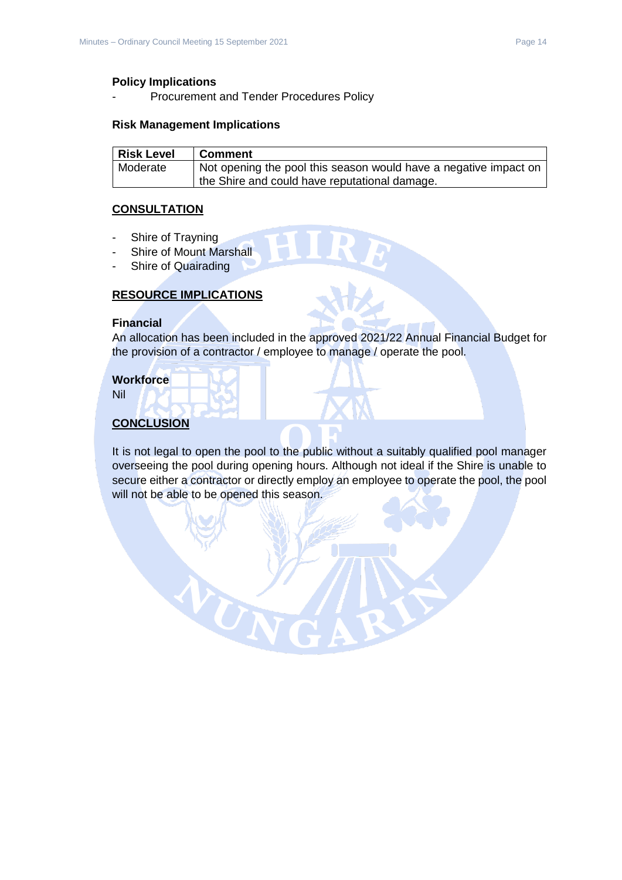#### **Policy Implications**

Procurement and Tender Procedures Policy

#### **Risk Management Implications**

| <b>Risk Level</b> | <b>Comment</b>                                                   |
|-------------------|------------------------------------------------------------------|
| Moderate          | Not opening the pool this season would have a negative impact on |
|                   | the Shire and could have reputational damage.                    |

#### **CONSULTATION**

- Shire of Trayning
- Shire of Mount Marshall
- Shire of Quairading

#### **RESOURCE IMPLICATIONS**

 $\alpha_{\rm I}$ 

#### **Financial**

An allocation has been included in the approved 2021/22 Annual Financial Budget for the provision of a contractor / employee to manage / operate the pool.

#### **Workforce**

Nil

# **CONCLUSION**

It is not legal to open the pool to the public without a suitably qualified pool manager overseeing the pool during opening hours. Although not ideal if the Shire is unable to secure either a contractor or directly employ an employee to operate the pool, the pool will not be able to be opened this season.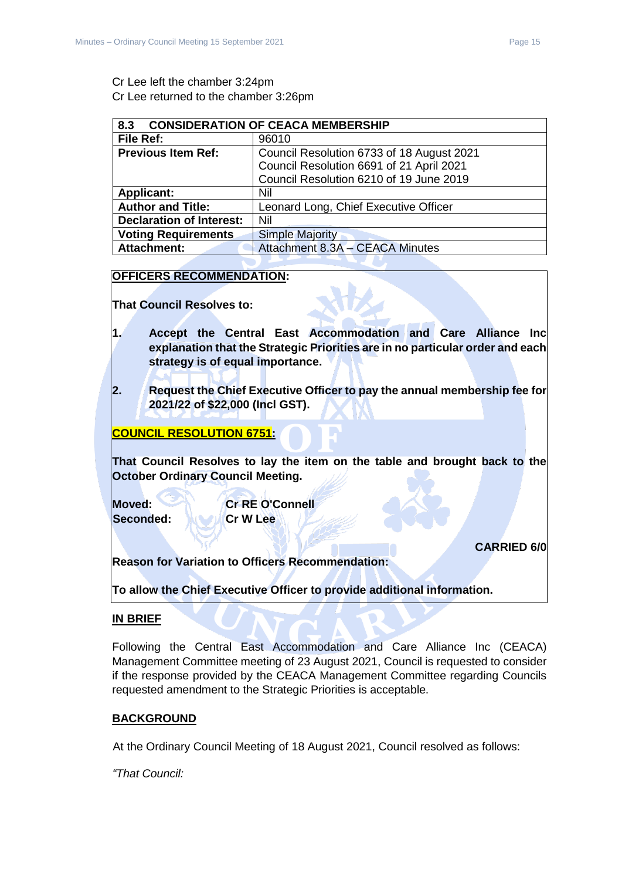# Cr Lee left the chamber 3:24pm Cr Lee returned to the chamber 3:26pm

<span id="page-14-0"></span>

| <b>CONSIDERATION OF CEACA MEMBERSHIP</b><br>8.3                   |                                           |  |
|-------------------------------------------------------------------|-------------------------------------------|--|
| File Ref:                                                         | 96010                                     |  |
| <b>Previous Item Ref:</b>                                         | Council Resolution 6733 of 18 August 2021 |  |
|                                                                   | Council Resolution 6691 of 21 April 2021  |  |
|                                                                   | Council Resolution 6210 of 19 June 2019   |  |
| <b>Applicant:</b><br>Nil                                          |                                           |  |
| <b>Author and Title:</b><br>Leonard Long, Chief Executive Officer |                                           |  |
| <b>Declaration of Interest:</b>                                   | Nil                                       |  |
| <b>Voting Requirements</b><br><b>Simple Majority</b>              |                                           |  |
| Attachment 8.3A - CEACA Minutes<br><b>Attachment:</b>             |                                           |  |

# **OFFICERS RECOMMENDATION:**

**That Council Resolves to:**

- **1. Accept the Central East Accommodation and Care Alliance Inc explanation that the Strategic Priorities are in no particular order and each strategy is of equal importance.**
- **2. Request the Chief Executive Officer to pay the annual membership fee for 2021/22 of \$22,000 (Incl GST).**

# **COUNCIL RESOLUTION 6751:**

**That Council Resolves to lay the item on the table and brought back to the October Ordinary Council Meeting.**

**Moved: Cr RE O'Connell Seconded: NOW Cr W Lee** 

# **CARRIED 6/0**

**Reason for Variation to Officers Recommendation:**

**To allow the Chief Executive Officer to provide additional information.**

# **IN BRIEF**

Following the Central East Accommodation and Care Alliance Inc (CEACA) Management Committee meeting of 23 August 2021, Council is requested to consider if the response provided by the CEACA Management Committee regarding Councils requested amendment to the Strategic Priorities is acceptable.

# **BACKGROUND**

At the Ordinary Council Meeting of 18 August 2021, Council resolved as follows:

*"That Council:*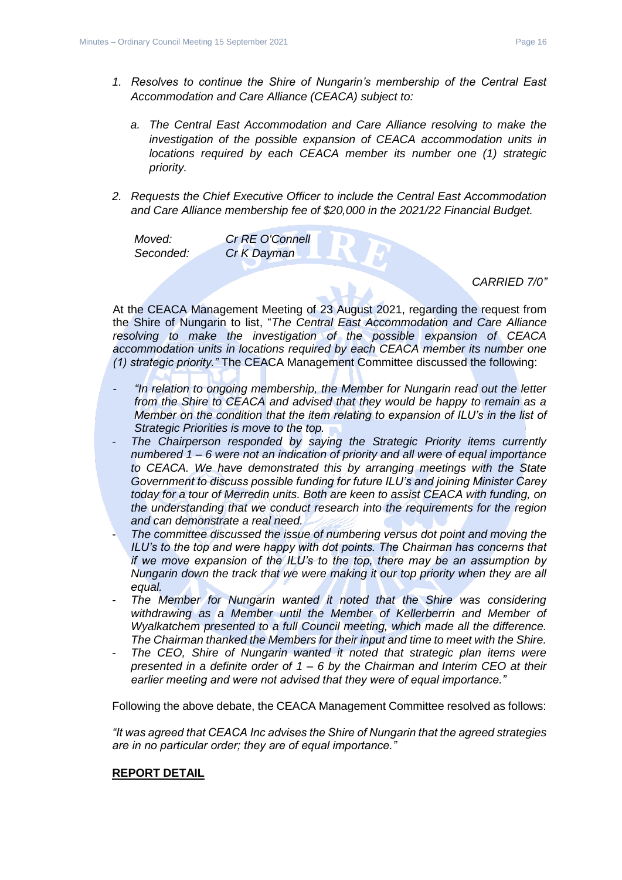- *a. The Central East Accommodation and Care Alliance resolving to make the investigation of the possible expansion of CEACA accommodation units in locations required by each CEACA member its number one (1) strategic priority.*
- *2. Requests the Chief Executive Officer to include the Central East Accommodation and Care Alliance membership fee of \$20,000 in the 2021/22 Financial Budget.*

*Moved: Cr RE O'Connell Seconded: Cr K Dayman*

*CARRIED 7/0"*

At the CEACA Management Meeting of 23 August 2021, regarding the request from the Shire of Nungarin to list, "*The Central East Accommodation and Care Alliance resolving to make the investigation of the possible expansion of CEACA accommodation units in locations required by each CEACA member its number one (1) strategic priority."* The CEACA Management Committee discussed the following:

- *- "In relation to ongoing membership, the Member for Nungarin read out the letter from the Shire to CEACA and advised that they would be happy to remain as a Member on the condition that the item relating to expansion of ILU's in the list of Strategic Priorities is move to the top.*
- *The Chairperson responded by saying the Strategic Priority items currently numbered 1 – 6 were not an indication of priority and all were of equal importance*  to CEACA. We have demonstrated this by arranging meetings with the State *Government to discuss possible funding for future ILU's and joining Minister Carey today for a tour of Merredin units. Both are keen to assist CEACA with funding, on the understanding that we conduct research into the requirements for the region and can demonstrate a real need.*
- *The committee discussed the issue of numbering versus dot point and moving the ILU's to the top and were happy with dot points. The Chairman has concerns that if we move expansion of the ILU's to the top, there may be an assumption by Nungarin down the track that we were making it our top priority when they are all equal.*
- The Member for Nungarin wanted it noted that the Shire was considering *withdrawing as a Member until the Member of Kellerberrin and Member of Wyalkatchem presented to a full Council meeting, which made all the difference. The Chairman thanked the Members for their input and time to meet with the Shire.*
- *The CEO, Shire of Nungarin wanted it noted that strategic plan items were presented in a definite order of 1 – 6 by the Chairman and Interim CEO at their earlier meeting and were not advised that they were of equal importance."*

Following the above debate, the CEACA Management Committee resolved as follows:

*"It was agreed that CEACA Inc advises the Shire of Nungarin that the agreed strategies are in no particular order; they are of equal importance."*

#### **REPORT DETAIL**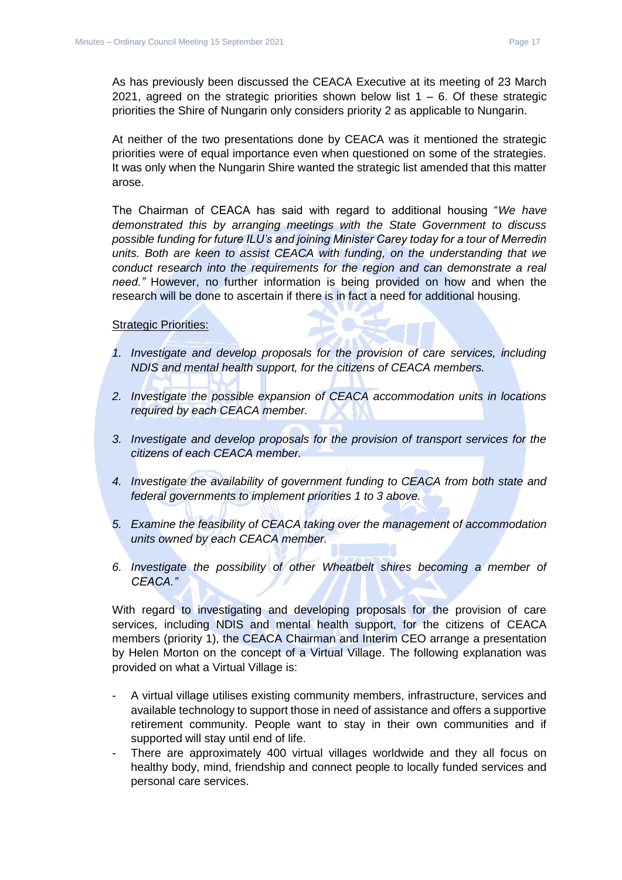As has previously been discussed the CEACA Executive at its meeting of 23 March 2021, agreed on the strategic priorities shown below list  $1 - 6$ . Of these strategic priorities the Shire of Nungarin only considers priority 2 as applicable to Nungarin.

At neither of the two presentations done by CEACA was it mentioned the strategic priorities were of equal importance even when questioned on some of the strategies. It was only when the Nungarin Shire wanted the strategic list amended that this matter arose.

The Chairman of CEACA has said with regard to additional housing "*We have demonstrated this by arranging meetings with the State Government to discuss possible funding for future ILU's and joining Minister Carey today for a tour of Merredin units. Both are keen to assist CEACA with funding, on the understanding that we conduct research into the requirements for the region and can demonstrate a real need."* However, no further information is being provided on how and when the research will be done to ascertain if there is in fact a need for additional housing.

Strategic Priorities:

- *1. Investigate and develop proposals for the provision of care services, including NDIS and mental health support, for the citizens of CEACA members.*
- *2. Investigate the possible expansion of CEACA accommodation units in locations required by each CEACA member.*
- *3. Investigate and develop proposals for the provision of transport services for the citizens of each CEACA member.*
- *4. Investigate the availability of government funding to CEACA from both state and federal governments to implement priorities 1 to 3 above.*
- *5. Examine the feasibility of CEACA taking over the management of accommodation units owned by each CEACA member.*
- *6. Investigate the possibility of other Wheatbelt shires becoming a member of CEACA."*

With regard to investigating and developing proposals for the provision of care services, including NDIS and mental health support, for the citizens of CEACA members (priority 1), the CEACA Chairman and Interim CEO arrange a presentation by Helen Morton on the concept of a Virtual Village. The following explanation was provided on what a Virtual Village is:

- A virtual village utilises existing community members, infrastructure, services and available technology to support those in need of assistance and offers a supportive retirement community. People want to stay in their own communities and if supported will stay until end of life.
- There are approximately 400 virtual villages worldwide and they all focus on healthy body, mind, friendship and connect people to locally funded services and personal care services.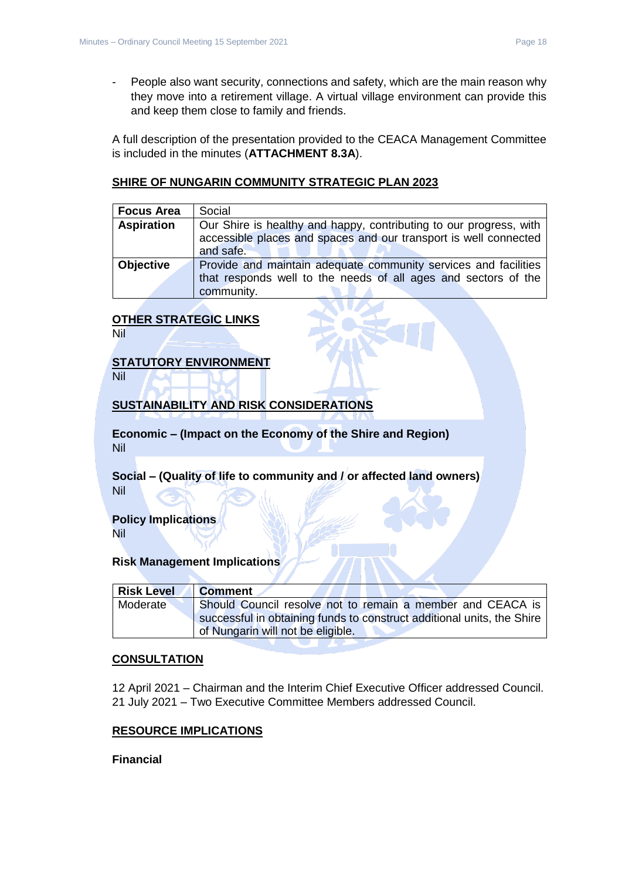- People also want security, connections and safety, which are the main reason why they move into a retirement village. A virtual village environment can provide this and keep them close to family and friends.

A full description of the presentation provided to the CEACA Management Committee is included in the minutes (**ATTACHMENT 8.3A**).

# **SHIRE OF NUNGARIN COMMUNITY STRATEGIC PLAN 2023**

| <b>Focus Area</b> | Social                                                             |  |  |
|-------------------|--------------------------------------------------------------------|--|--|
| <b>Aspiration</b> | Our Shire is healthy and happy, contributing to our progress, with |  |  |
|                   | accessible places and spaces and our transport is well connected   |  |  |
|                   | and safe.                                                          |  |  |
| <b>Objective</b>  | Provide and maintain adequate community services and facilities    |  |  |
|                   | that responds well to the needs of all ages and sectors of the     |  |  |
|                   | community.                                                         |  |  |

# **OTHER STRATEGIC LINKS**

Nil

# **STATUTORY ENVIRONMENT**

Nil

# **SUSTAINABILITY AND RISK CONSIDERATIONS**

**Economic – (Impact on the Economy of the Shire and Region)** Nil

**Social – (Quality of life to community and / or affected land owners)** Nil

#### **Policy Implications** Nil

#### **Risk Management Implications**

| <b>Risk Level</b> | <b>Comment</b>                                                         |
|-------------------|------------------------------------------------------------------------|
| Moderate          | Should Council resolve not to remain a member and CEACA is             |
|                   | successful in obtaining funds to construct additional units, the Shire |
|                   | of Nungarin will not be eligible.                                      |

# **CONSULTATION**

12 April 2021 – Chairman and the Interim Chief Executive Officer addressed Council. 21 July 2021 – Two Executive Committee Members addressed Council.

# **RESOURCE IMPLICATIONS**

#### **Financial**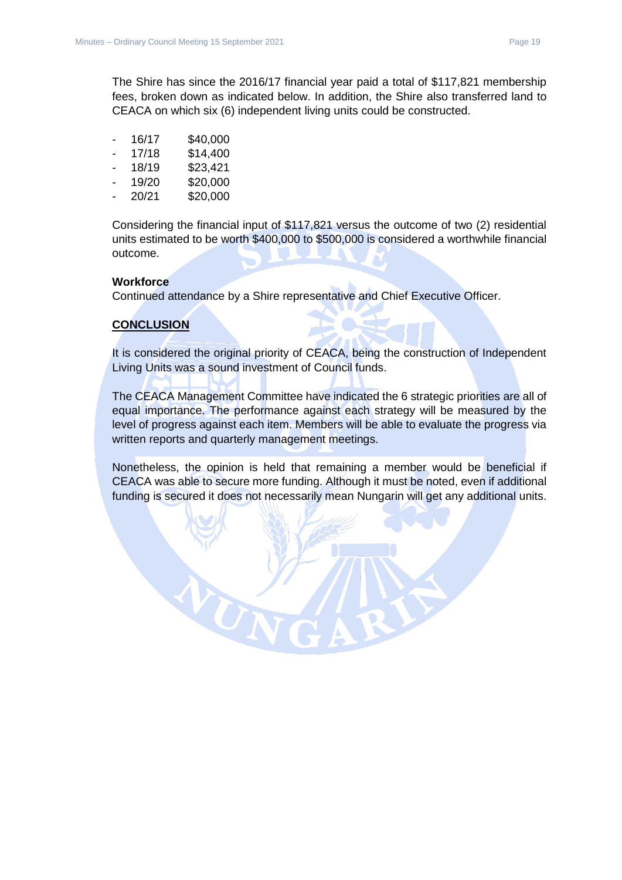The Shire has since the 2016/17 financial year paid a total of \$117,821 membership fees, broken down as indicated below. In addition, the Shire also transferred land to CEACA on which six (6) independent living units could be constructed.

| -              | 16/17 | \$40,000 |
|----------------|-------|----------|
| ۰              | 17/18 | \$14,400 |
| $\blacksquare$ | 18/19 | \$23,421 |
| -              | 19/20 | \$20,000 |
| $\blacksquare$ | 20/21 | \$20,000 |

Considering the financial input of \$117,821 versus the outcome of two (2) residential units estimated to be worth \$400,000 to \$500,000 is considered a worthwhile financial outcome.

#### **Workforce**

Continued attendance by a Shire representative and Chief Executive Officer.

#### **CONCLUSION**

It is considered the original priority of CEACA, being the construction of Independent Living Units was a sound investment of Council funds.

The CEACA Management Committee have indicated the 6 strategic priorities are all of equal importance. The performance against each strategy will be measured by the level of progress against each item. Members will be able to evaluate the progress via written reports and quarterly management meetings.

Nonetheless, the opinion is held that remaining a member would be beneficial if CEACA was able to secure more funding. Although it must be noted, even if additional funding is secured it does not necessarily mean Nungarin will get any additional units.

 $\alpha_{\rm K}$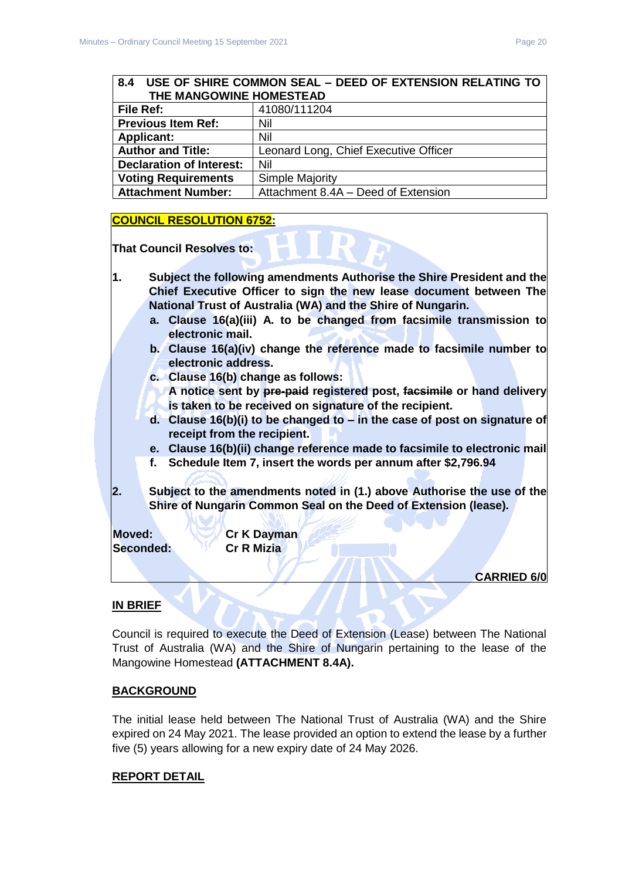#### <span id="page-19-0"></span>**8.4 USE OF SHIRE COMMON SEAL – DEED OF EXTENSION RELATING TO THE MANGOWINE HOMESTEAD**

| File Ref:                       | 41080/111204                          |
|---------------------------------|---------------------------------------|
| <b>Previous Item Ref:</b>       | Nil                                   |
| <b>Applicant:</b>               | Nil                                   |
| <b>Author and Title:</b>        | Leonard Long, Chief Executive Officer |
| <b>Declaration of Interest:</b> | Nil                                   |
| <b>Voting Requirements</b>      | Simple Majority                       |
| <b>Attachment Number:</b>       | Attachment 8.4A - Deed of Extension   |

# **COUNCIL RESOLUTION 6752:**

**That Council Resolves to:**

- **1. Subject the following amendments Authorise the Shire President and the Chief Executive Officer to sign the new lease document between The National Trust of Australia (WA) and the Shire of Nungarin.**
	- **a. Clause 16(a)(iii) A. to be changed from facsimile transmission to electronic mail.**
	- **b. Clause 16(a)(iv) change the reference made to facsimile number to electronic address.**
	- **c. Clause 16(b) change as follows:**

**A notice sent by pre-paid registered post, facsimile or hand delivery is taken to be received on signature of the recipient.** 

- **d. Clause 16(b)(i) to be changed to – in the case of post on signature of receipt from the recipient.**
- **e. Clause 16(b)(ii) change reference made to facsimile to electronic mail**
- **f. Schedule Item 7, insert the words per annum after \$2,796.94**
- **2. Subject to the amendments noted in (1.) above Authorise the use of the Shire of Nungarin Common Seal on the Deed of Extension (lease).**

**Seconded: Cr R Mizia**

**Moved: Cr K Dayman**

**CARRIED 6/0**

# **IN BRIEF**

Council is required to execute the Deed of Extension (Lease) between The National Trust of Australia (WA) and the Shire of Nungarin pertaining to the lease of the Mangowine Homestead **(ATTACHMENT 8.4A).**

# **BACKGROUND**

The initial lease held between The National Trust of Australia (WA) and the Shire expired on 24 May 2021. The lease provided an option to extend the lease by a further five (5) years allowing for a new expiry date of 24 May 2026.

# **REPORT DETAIL**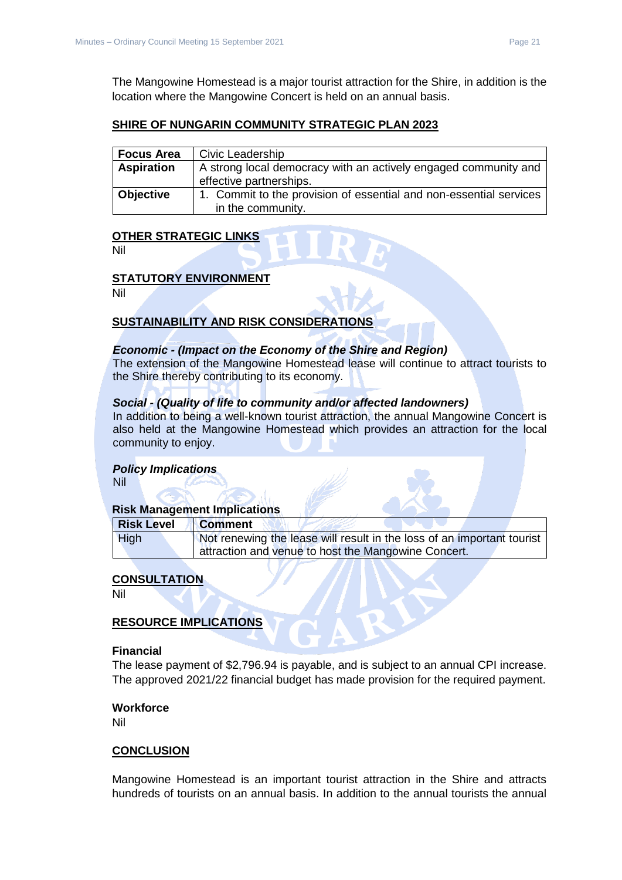The Mangowine Homestead is a major tourist attraction for the Shire, in addition is the location where the Mangowine Concert is held on an annual basis.

# **SHIRE OF NUNGARIN COMMUNITY STRATEGIC PLAN 2023**

| <b>Focus Area</b> | Civic Leadership                                                   |  |
|-------------------|--------------------------------------------------------------------|--|
| <b>Aspiration</b> | A strong local democracy with an actively engaged community and    |  |
|                   | effective partnerships.                                            |  |
| <b>Objective</b>  | 1. Commit to the provision of essential and non-essential services |  |
|                   | in the community.                                                  |  |

#### **OTHER STRATEGIC LINKS**

Nil

#### **STATUTORY ENVIRONMENT**

Nil

#### **SUSTAINABILITY AND RISK CONSIDERATIONS**

#### *Economic - (Impact on the Economy of the Shire and Region)*

The extension of the Mangowine Homestead lease will continue to attract tourists to the Shire thereby contributing to its economy.

#### *Social - (Quality of life to community and/or affected landowners)*

In addition to being a well-known tourist attraction, the annual Mangowine Concert is also held at the Mangowine Homestead which provides an attraction for the local community to enjoy.

#### *Policy Implications*

Nil

#### **Risk Management Implications**

| <b>Risk Level</b> | <b>Comment</b>                                                         |
|-------------------|------------------------------------------------------------------------|
| <b>High</b>       | Not renewing the lease will result in the loss of an important tourist |
|                   | I attraction and venue to host the Mangowine Concert.                  |
|                   |                                                                        |

# **CONSULTATION**

Nil

#### **RESOURCE IMPLICATIONS**

#### **Financial**

The lease payment of \$2,796.94 is payable, and is subject to an annual CPI increase. The approved 2021/22 financial budget has made provision for the required payment.

#### **Workforce**

Nil

# **CONCLUSION**

Mangowine Homestead is an important tourist attraction in the Shire and attracts hundreds of tourists on an annual basis. In addition to the annual tourists the annual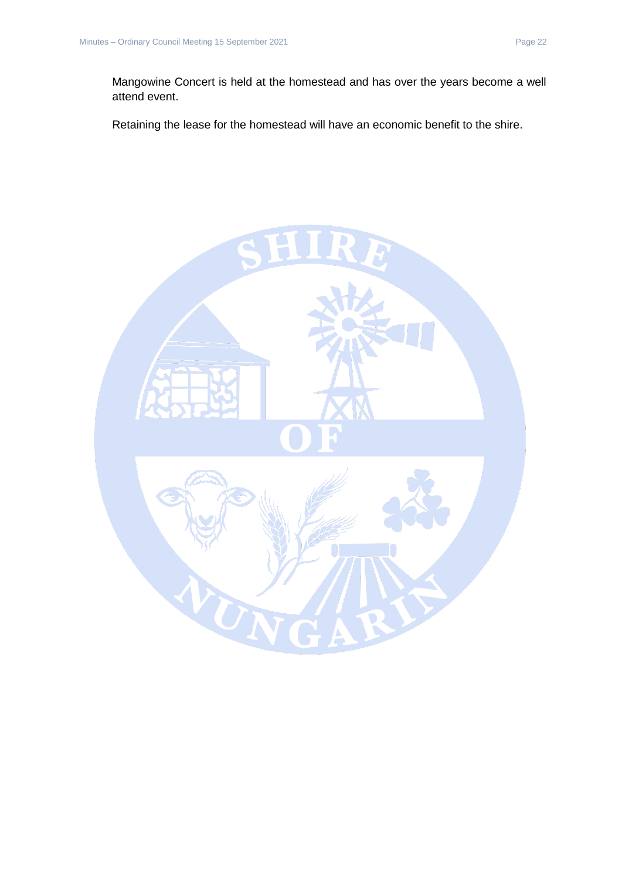Retaining the lease for the homestead will have an economic benefit to the shire.

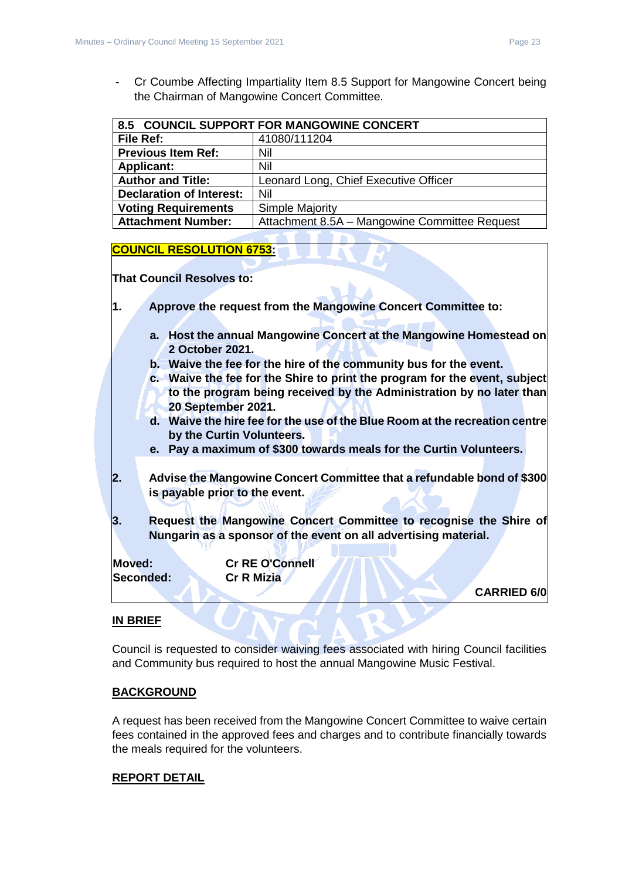- Cr Coumbe Affecting Impartiality Item 8.5 Support for Mangowine Concert being the Chairman of Mangowine Concert Committee.

<span id="page-22-0"></span>

| 8.5 COUNCIL SUPPORT FOR MANGOWINE CONCERT |                                               |
|-------------------------------------------|-----------------------------------------------|
| <b>File Ref:</b>                          | 41080/111204                                  |
| <b>Previous Item Ref:</b>                 | Nil                                           |
| <b>Applicant:</b>                         | Nil                                           |
| <b>Author and Title:</b>                  | Leonard Long, Chief Executive Officer         |
| <b>Declaration of Interest:</b>           | Nil                                           |
| <b>Voting Requirements</b>                | <b>Simple Majority</b>                        |
| <b>Attachment Number:</b>                 | Attachment 8.5A - Mangowine Committee Request |

#### **COUNCIL RESOLUTION 6753:**

**That Council Resolves to:**

- **1. Approve the request from the Mangowine Concert Committee to:**
	- **a. Host the annual Mangowine Concert at the Mangowine Homestead on 2 October 2021.**
	- **b. Waive the fee for the hire of the community bus for the event.**
	- **c. Waive the fee for the Shire to print the program for the event, subject to the program being received by the Administration by no later than 20 September 2021.**
	- **d. Waive the hire fee for the use of the Blue Room at the recreation centre by the Curtin Volunteers.**
	- **e. Pay a maximum of \$300 towards meals for the Curtin Volunteers.**
- **2. Advise the Mangowine Concert Committee that a refundable bond of \$300 is payable prior to the event.**
- **3. Request the Mangowine Concert Committee to recognise the Shire of Nungarin as a sponsor of the event on all advertising material.**

**Moved: Cr RE O'Connell Seconded: Cr R Mizia**

**CARRIED 6/0**

# **IN BRIEF**

Council is requested to consider waiving fees associated with hiring Council facilities and Community bus required to host the annual Mangowine Music Festival.

#### **BACKGROUND**

A request has been received from the Mangowine Concert Committee to waive certain fees contained in the approved fees and charges and to contribute financially towards the meals required for the volunteers.

#### **REPORT DETAIL**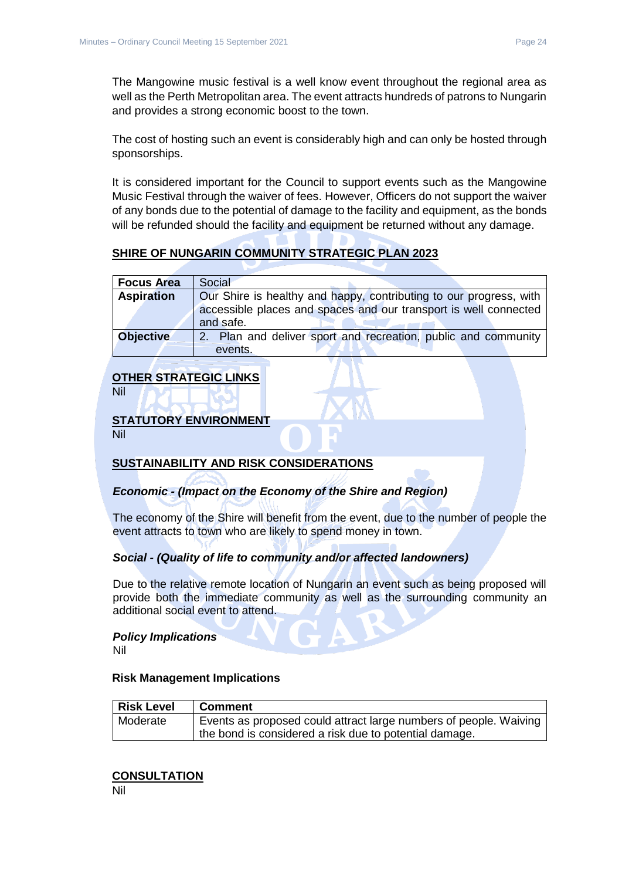The Mangowine music festival is a well know event throughout the regional area as well as the Perth Metropolitan area. The event attracts hundreds of patrons to Nungarin and provides a strong economic boost to the town.

The cost of hosting such an event is considerably high and can only be hosted through sponsorships.

It is considered important for the Council to support events such as the Mangowine Music Festival through the waiver of fees. However, Officers do not support the waiver of any bonds due to the potential of damage to the facility and equipment, as the bonds will be refunded should the facility and equipment be returned without any damage.

# **SHIRE OF NUNGARIN COMMUNITY STRATEGIC PLAN 2023**

| <b>Focus Area</b> | Social                                                             |
|-------------------|--------------------------------------------------------------------|
| <b>Aspiration</b> | Our Shire is healthy and happy, contributing to our progress, with |
|                   | accessible places and spaces and our transport is well connected   |
|                   | and safe.                                                          |
| <b>Objective</b>  | Plan and deliver sport and recreation, public and community        |
|                   | events.                                                            |

# **OTHER STRATEGIC LINKS**

Nil

# **STATUTORY ENVIRONMENT**

Nil

# **SUSTAINABILITY AND RISK CONSIDERATIONS**

# *Economic - (Impact on the Economy of the Shire and Region)*

The economy of the Shire will benefit from the event, due to the number of people the event attracts to town who are likely to spend money in town.

# *Social - (Quality of life to community and/or affected landowners)*

Due to the relative remote location of Nungarin an event such as being proposed will provide both the immediate community as well as the surrounding community an additional social event to attend.

#### *Policy Implications*

Nil

#### **Risk Management Implications**

| <b>Risk Level</b> | <b>Comment</b>                                                    |
|-------------------|-------------------------------------------------------------------|
| Moderate          | Events as proposed could attract large numbers of people. Waiving |
|                   | the bond is considered a risk due to potential damage.            |

#### **CONSULTATION**

Nil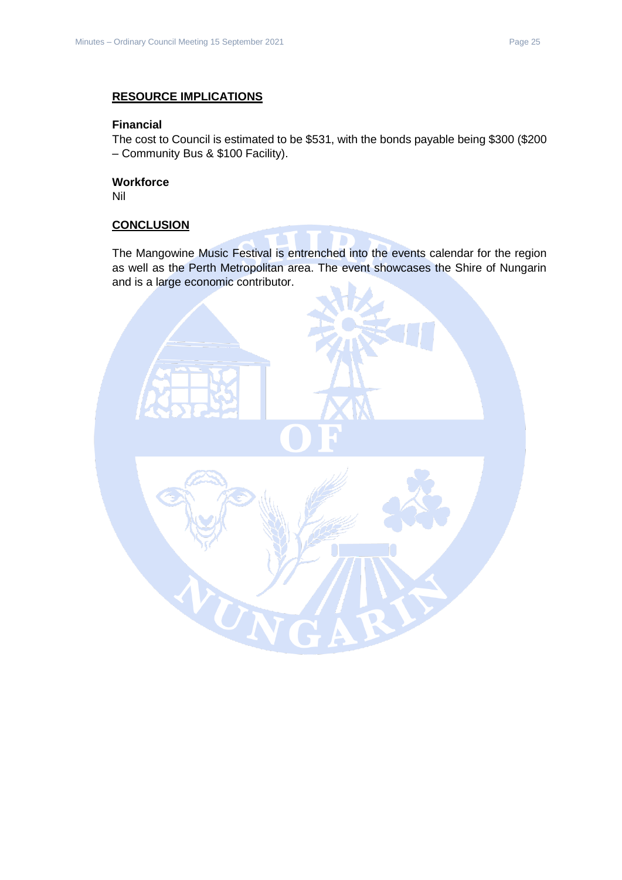# **RESOURCE IMPLICATIONS**

#### **Financial**

The cost to Council is estimated to be \$531, with the bonds payable being \$300 (\$200 – Community Bus & \$100 Facility).

# **Workforce**

Nil

#### **CONCLUSION**

The Mangowine Music Festival is entrenched into the events calendar for the region as well as the Perth Metropolitan area. The event showcases the Shire of Nungarin and is a large economic contributor.

**SER**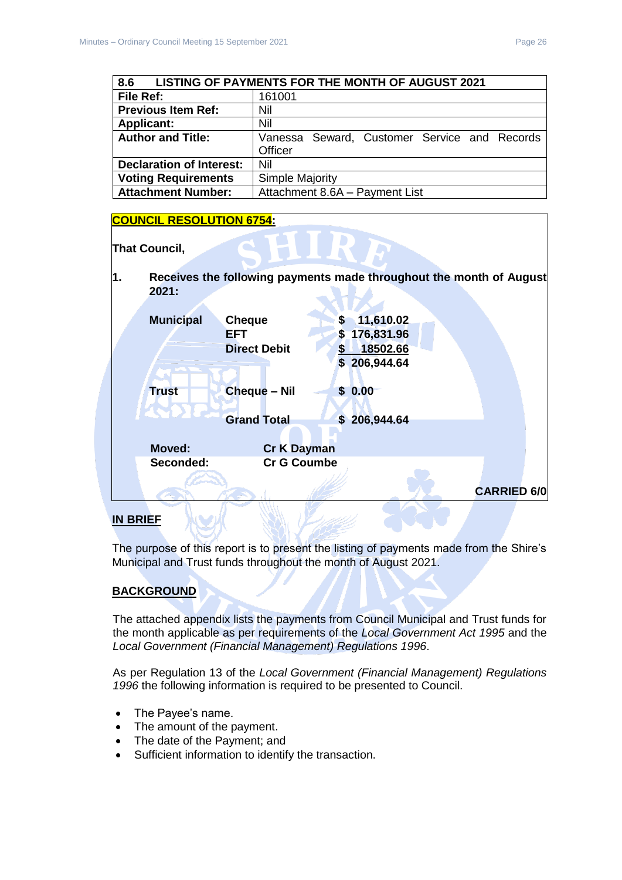<span id="page-25-0"></span>

| 8.6<br><b>LISTING OF PAYMENTS FOR THE MONTH OF AUGUST 2021</b> |                                              |  |
|----------------------------------------------------------------|----------------------------------------------|--|
| File Ref:                                                      | 161001                                       |  |
| <b>Previous Item Ref:</b>                                      | Nil                                          |  |
| <b>Applicant:</b>                                              | Nil                                          |  |
| <b>Author and Title:</b>                                       | Vanessa Seward, Customer Service and Records |  |
|                                                                | Officer                                      |  |
| <b>Declaration of Interest:</b>                                | Nil                                          |  |
| <b>Voting Requirements</b>                                     | Simple Majority                              |  |
| <b>Attachment Number:</b>                                      | Attachment 8.6A - Payment List               |  |

#### **COUNCIL RESOLUTION 6754:**



The purpose of this report is to present the listing of payments made from the Shire's Municipal and Trust funds throughout the month of August 2021.

# **BACKGROUND**

The attached appendix lists the payments from Council Municipal and Trust funds for the month applicable as per requirements of the *Local Government Act 1995* and the *Local Government (Financial Management) Regulations 1996*.

As per Regulation 13 of the *Local Government (Financial Management) Regulations 1996* the following information is required to be presented to Council.

- The Payee's name.
- The amount of the payment.
- The date of the Payment; and
- Sufficient information to identify the transaction.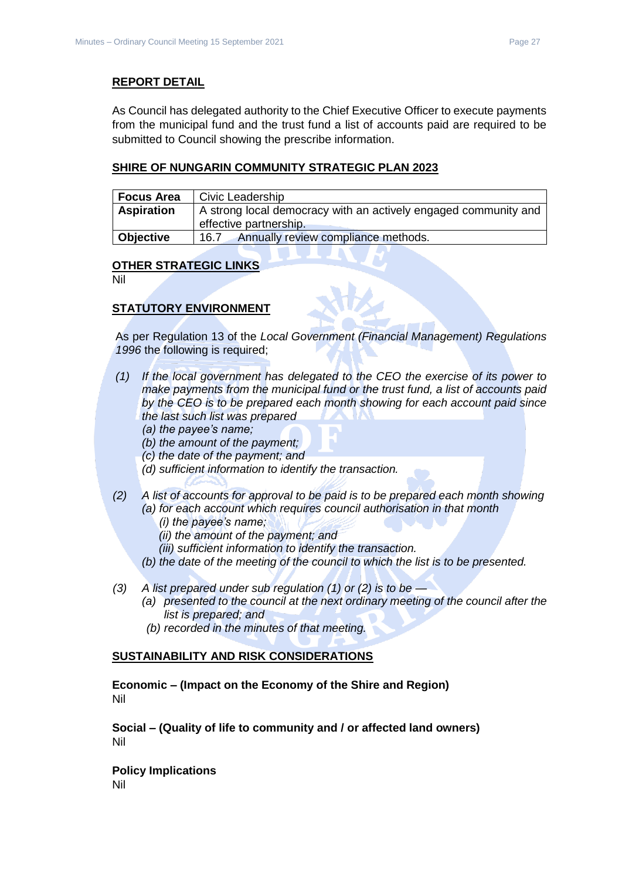#### **REPORT DETAIL**

As Council has delegated authority to the Chief Executive Officer to execute payments from the municipal fund and the trust fund a list of accounts paid are required to be submitted to Council showing the prescribe information.

#### **SHIRE OF NUNGARIN COMMUNITY STRATEGIC PLAN 2023**

| <b>Focus Area</b> | Civic Leadership                                                                          |
|-------------------|-------------------------------------------------------------------------------------------|
| <b>Aspiration</b> | A strong local democracy with an actively engaged community and<br>effective partnership. |
| Objective         | Annually review compliance methods.<br>16.7                                               |

#### **OTHER STRATEGIC LINKS**

Nil

# **STATUTORY ENVIRONMENT**

As per Regulation 13 of the *Local Government (Financial Management) Regulations 1996* the following is required;

- *(1) If the local government has delegated to the CEO the exercise of its power to make payments from the municipal fund or the trust fund, a list of accounts paid by the CEO is to be prepared each month showing for each account paid since the last such list was prepared* 
	- *(a) the payee's name;*
	- *(b) the amount of the payment;*
	- *(c) the date of the payment; and*
	- *(d) sufficient information to identify the transaction.*
- *(2) A list of accounts for approval to be paid is to be prepared each month showing (a) for each account which requires council authorisation in that month* 
	- *(i) the payee's name;*
	- *(ii) the amount of the payment; and*
	- *(iii) sufficient information to identify the transaction.*
	- *(b) the date of the meeting of the council to which the list is to be presented.*
- *(3) A list prepared under sub regulation (1) or (2) is to be —*
	- *(a) presented to the council at the next ordinary meeting of the council after the list is prepared; and*
	- *(b) recorded in the minutes of that meeting.*

#### **SUSTAINABILITY AND RISK CONSIDERATIONS**

**Economic – (Impact on the Economy of the Shire and Region)** Nil

**Social – (Quality of life to community and / or affected land owners)** Nil

**Policy Implications** Nil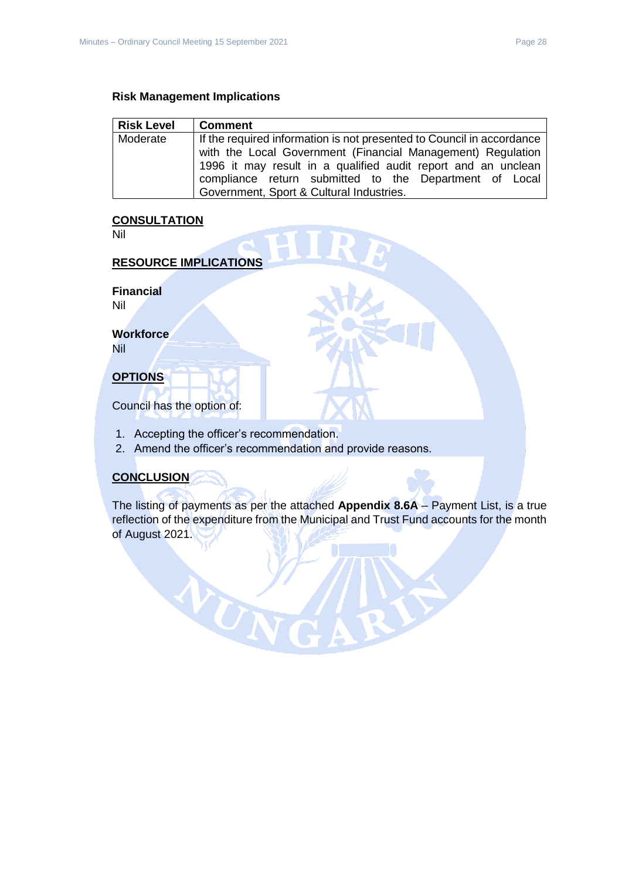#### **Risk Management Implications**

| <b>Comment</b>                                                                                                                                                                                                                                                                                              |
|-------------------------------------------------------------------------------------------------------------------------------------------------------------------------------------------------------------------------------------------------------------------------------------------------------------|
| If the required information is not presented to Council in accordance<br>with the Local Government (Financial Management) Regulation<br>1996 it may result in a qualified audit report and an unclean<br>compliance return submitted to the Department of Local<br>Government, Sport & Cultural Industries. |
|                                                                                                                                                                                                                                                                                                             |

# **CONSULTATION**

Nil

# **RESOURCE IMPLICATIONS**

**Financial**

Nil

**Workforce** Nil

# **OPTIONS**

Council has the option of:

1. Accepting the officer's recommendation.

WUT

2. Amend the officer's recommendation and provide reasons.

# **CONCLUSION**

The listing of payments as per the attached **Appendix 8.6A** – Payment List, is a true reflection of the expenditure from the Municipal and Trust Fund accounts for the month of August 2021.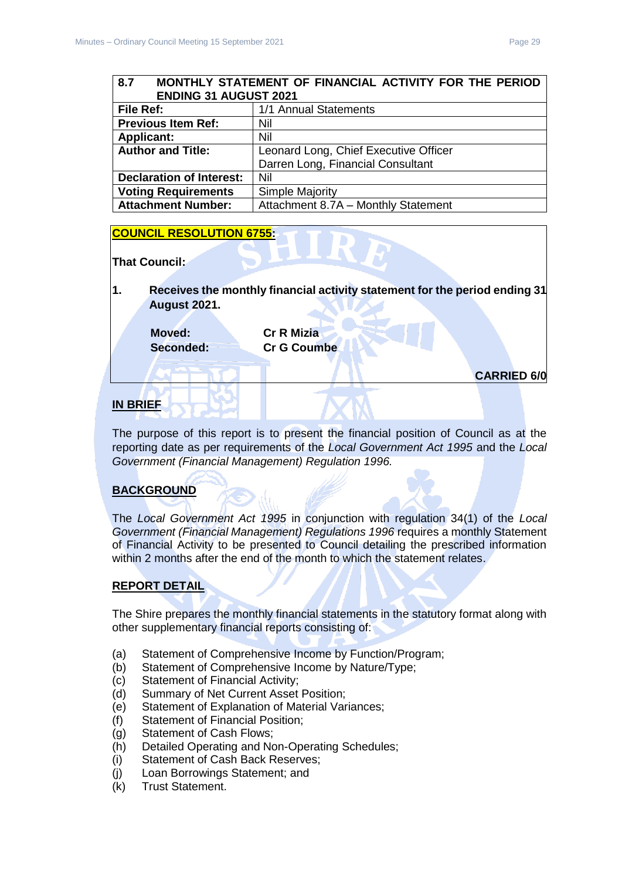#### <span id="page-28-0"></span>**8.7 MONTHLY STATEMENT OF FINANCIAL ACTIVITY FOR THE PERIOD ENDING 31 AUGUST 2021**

|                                 | -----------------------               |  |
|---------------------------------|---------------------------------------|--|
| File Ref:                       | 1/1 Annual Statements                 |  |
| <b>Previous Item Ref:</b>       | Nil                                   |  |
| <b>Applicant:</b>               | Nil                                   |  |
| <b>Author and Title:</b>        | Leonard Long, Chief Executive Officer |  |
|                                 | Darren Long, Financial Consultant     |  |
| <b>Declaration of Interest:</b> | Nil                                   |  |
| <b>Voting Requirements</b>      | <b>Simple Majority</b>                |  |
| <b>Attachment Number:</b>       | Attachment 8.7A - Monthly Statement   |  |

# **COUNCIL RESOLUTION 6755:**

#### **That Council:**

**1. Receives the monthly financial activity statement for the period ending 31 August 2021.**

**Moved: Cr R Mizia**

**Seconded: Cr G Coumbe**

**CARRIED 6/0**

# **IN BRIEF**

The purpose of this report is to present the financial position of Council as at the reporting date as per requirements of the *Local Government Act 1995* and the *Local Government (Financial Management) Regulation 1996.*

# **BACKGROUND**

The *Local Government Act 1995* in conjunction with regulation 34(1) of the *Local Government (Financial Management) Regulations 1996* requires a monthly Statement of Financial Activity to be presented to Council detailing the prescribed information within 2 months after the end of the month to which the statement relates.

# **REPORT DETAIL**

The Shire prepares the monthly financial statements in the statutory format along with other supplementary financial reports consisting of:

- (a) Statement of Comprehensive Income by Function/Program;
- (b) Statement of Comprehensive Income by Nature/Type;
- (c) Statement of Financial Activity;
- (d) Summary of Net Current Asset Position;
- (e) Statement of Explanation of Material Variances;
- (f) Statement of Financial Position;
- (g) Statement of Cash Flows;
- (h) Detailed Operating and Non-Operating Schedules;
- (i) Statement of Cash Back Reserves;
- (j) Loan Borrowings Statement; and
- (k) Trust Statement.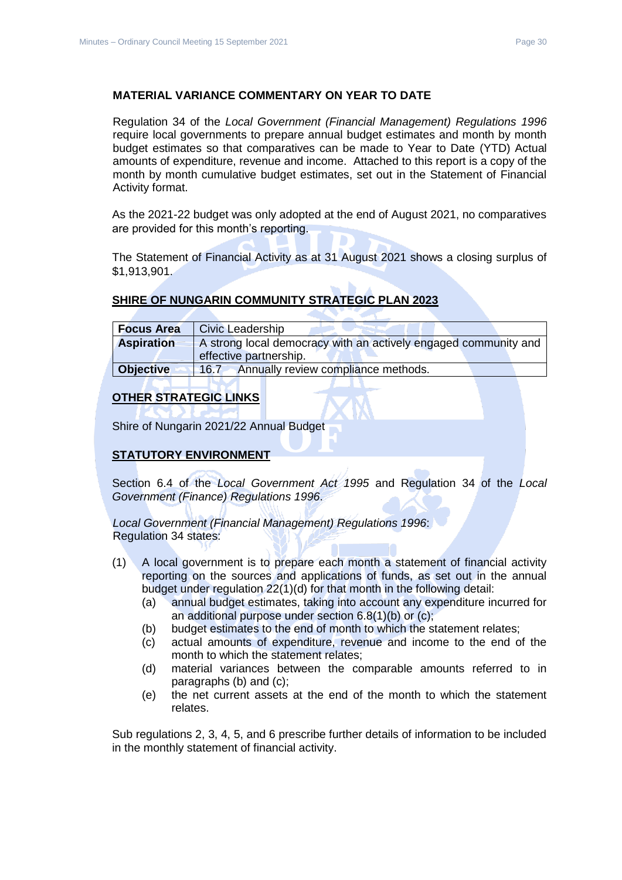# **MATERIAL VARIANCE COMMENTARY ON YEAR TO DATE**

Regulation 34 of the *Local Government (Financial Management) Regulations 1996*  require local governments to prepare annual budget estimates and month by month budget estimates so that comparatives can be made to Year to Date (YTD) Actual amounts of expenditure, revenue and income. Attached to this report is a copy of the month by month cumulative budget estimates, set out in the Statement of Financial Activity format.

As the 2021-22 budget was only adopted at the end of August 2021, no comparatives are provided for this month's reporting.

The Statement of Financial Activity as at 31 August 2021 shows a closing surplus of \$1,913,901.

# **SHIRE OF NUNGARIN COMMUNITY STRATEGIC PLAN 2023**

| <b>Focus Area</b> | Civic Leadership                                                                          |
|-------------------|-------------------------------------------------------------------------------------------|
| <b>Aspiration</b> | A strong local democracy with an actively engaged community and<br>effective partnership. |
| <b>Objective</b>  | Annually review compliance methods.<br>$-16.7$                                            |

# **OTHER STRATEGIC LINKS**

Shire of Nungarin 2021/22 Annual Budget

# **STATUTORY ENVIRONMENT**

Section 6.4 of the *Local Government Act 1995* and Regulation 34 of the *Local Government (Finance) Regulations 1996*.

*Local Government (Financial Management) Regulations 1996*: Regulation 34 states:

- (1) A local government is to prepare each month a statement of financial activity reporting on the sources and applications of funds, as set out in the annual budget under regulation 22(1)(d) for that month in the following detail:
	- (a) annual budget estimates, taking into account any expenditure incurred for an additional purpose under section 6.8(1)(b) or (c);
	- (b) budget estimates to the end of month to which the statement relates;
	- (c) actual amounts of expenditure, revenue and income to the end of the month to which the statement relates;
	- (d) material variances between the comparable amounts referred to in paragraphs (b) and (c);
	- (e) the net current assets at the end of the month to which the statement relates.

Sub regulations 2, 3, 4, 5, and 6 prescribe further details of information to be included in the monthly statement of financial activity.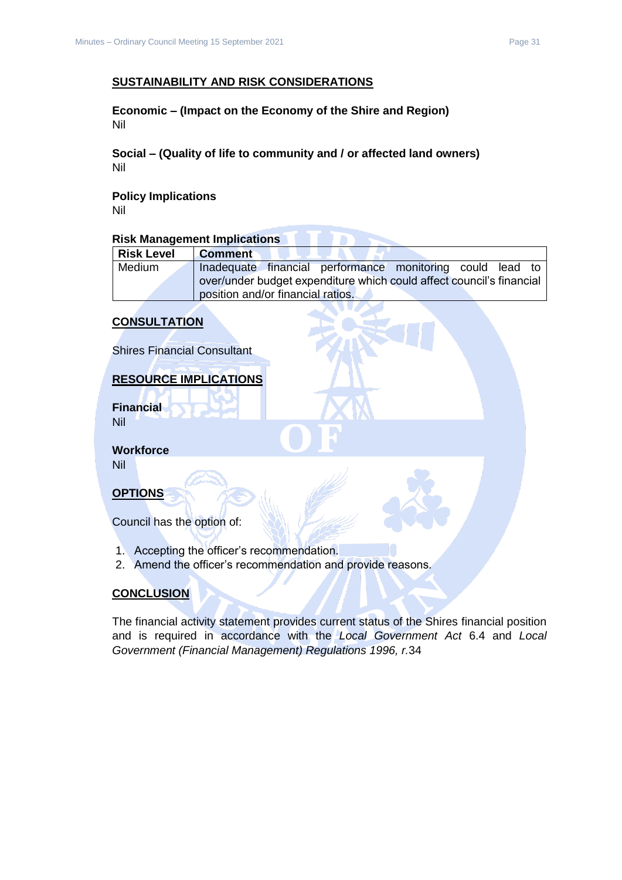# **SUSTAINABILITY AND RISK CONSIDERATIONS**

**Economic – (Impact on the Economy of the Shire and Region)** Nil

**Social – (Quality of life to community and / or affected land owners)** Nil

**Policy Implications**

Nil

# **Risk Management Implications**

| <b>Risk Level</b> | <b>Comment</b>                                                                                            |
|-------------------|-----------------------------------------------------------------------------------------------------------|
| Medium            | Inadequate financial performance monitoring could lead to                                                 |
|                   | over/under budget expenditure which could affect council's financial<br>position and/or financial ratios. |

#### **CONSULTATION**

Shires Financial Consultant

# **RESOURCE IMPLICATIONS**

**Financial** Nil

**Workforce** Nil

**OPTIONS**

Council has the option of:

- 1. Accepting the officer's recommendation.
- 2. Amend the officer's recommendation and provide reasons.

# **CONCLUSION**

The financial activity statement provides current status of the Shires financial position and is required in accordance with the *Local Government Act* 6.4 and *Local Government (Financial Management) Regulations 1996, r.*34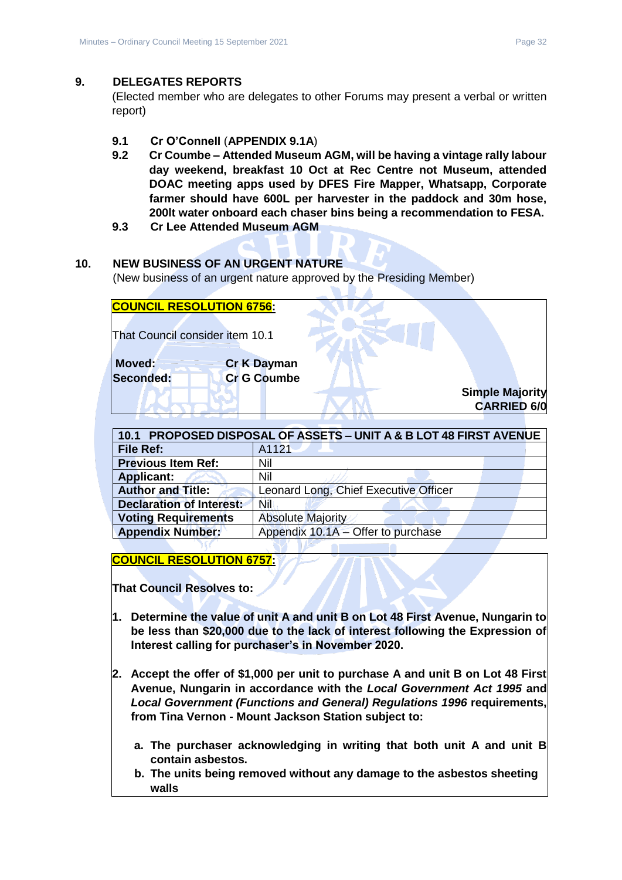#### <span id="page-31-0"></span>**9. DELEGATES REPORTS**

(Elected member who are delegates to other Forums may present a verbal or written report)

- <span id="page-31-1"></span>**9.1 Cr O'Connell** (**APPENDIX 9.1A**)
- **9.2 Cr Coumbe – Attended Museum AGM, will be having a vintage rally labour day weekend, breakfast 10 Oct at Rec Centre not Museum, attended DOAC meeting apps used by DFES Fire Mapper, Whatsapp, Corporate farmer should have 600L per harvester in the paddock and 30m hose, 200lt water onboard each chaser bins being a recommendation to FESA.**
- **9.3 Cr Lee Attended Museum AGM**

# <span id="page-31-2"></span>**10. NEW BUSINESS OF AN URGENT NATURE**

(New business of an urgent nature approved by the Presiding Member)

| <b>COUNCIL RESOLUTION 6756:</b> |                    |                        |
|---------------------------------|--------------------|------------------------|
| That Council consider item 10.1 |                    |                        |
| Moved:                          | <b>Cr K Dayman</b> |                        |
| Seconded:                       | <b>Cr G Coumbe</b> | <b>Simple Majority</b> |
|                                 |                    | <b>CARRIED 6/0</b>     |

<span id="page-31-3"></span>

| 10.1 PROPOSED DISPOSAL OF ASSETS - UNIT A & B LOT 48 FIRST AVENUE |                                       |  |
|-------------------------------------------------------------------|---------------------------------------|--|
| <b>File Ref:</b>                                                  | A1121                                 |  |
| <b>Previous Item Ref:</b>                                         | Nil                                   |  |
| <b>Applicant:</b>                                                 | Nil                                   |  |
| <b>Author and Title:</b>                                          | Leonard Long, Chief Executive Officer |  |
| <b>Declaration of Interest:</b>                                   | Nil                                   |  |
| <b>Voting Requirements</b>                                        | <b>Absolute Majority</b>              |  |
| <b>Appendix Number:</b>                                           | Appendix 10.1A - Offer to purchase    |  |

**COUNCIL RESOLUTION 6757:**

**That Council Resolves to:**

- **1. Determine the value of unit A and unit B on Lot 48 First Avenue, Nungarin to be less than \$20,000 due to the lack of interest following the Expression of Interest calling for purchaser's in November 2020.**
- **2. Accept the offer of \$1,000 per unit to purchase A and unit B on Lot 48 First Avenue, Nungarin in accordance with the** *Local Government Act 1995* **and**  *Local Government (Functions and General) Regulations 1996* **requirements, from Tina Vernon - Mount Jackson Station subject to:**
	- **a. The purchaser acknowledging in writing that both unit A and unit B contain asbestos.**
	- **b. The units being removed without any damage to the asbestos sheeting walls**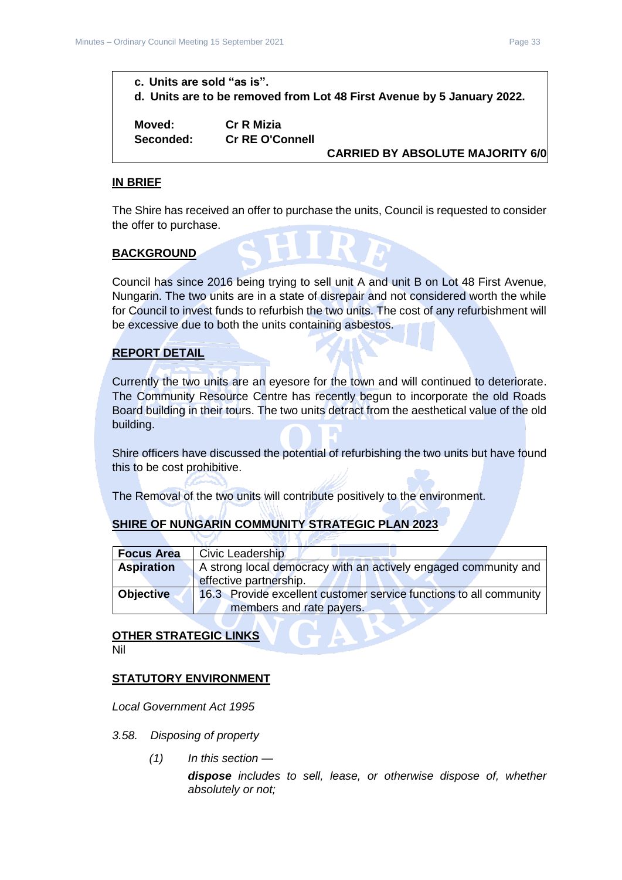# **c. Units are sold "as is". d. Units are to be removed from Lot 48 First Avenue by 5 January 2022.**

**Moved: Cr R Mizia**

**Seconded: Cr RE O'Connell**

**CARRIED BY ABSOLUTE MAJORITY 6/0**

#### **IN BRIEF**

The Shire has received an offer to purchase the units, Council is requested to consider the offer to purchase.

#### **BACKGROUND**

Council has since 2016 being trying to sell unit A and unit B on Lot 48 First Avenue, Nungarin. The two units are in a state of disrepair and not considered worth the while for Council to invest funds to refurbish the two units. The cost of any refurbishment will be excessive due to both the units containing asbestos.

#### **REPORT DETAIL**

Currently the two units are an eyesore for the town and will continued to deteriorate. The Community Resource Centre has recently begun to incorporate the old Roads Board building in their tours. The two units detract from the aesthetical value of the old building.

Shire officers have discussed the potential of refurbishing the two units but have found this to be cost prohibitive.

The Removal of the two units will contribute positively to the environment.

#### **SHIRE OF NUNGARIN COMMUNITY STRATEGIC PLAN 2023**

| <b>Focus Area</b> | <b>Civic Leadership</b>                                            |
|-------------------|--------------------------------------------------------------------|
| <b>Aspiration</b> | A strong local democracy with an actively engaged community and    |
|                   | effective partnership.                                             |
| <b>Objective</b>  | 16.3 Provide excellent customer service functions to all community |
|                   | members and rate payers.                                           |

# **OTHER STRATEGIC LINKS**

Nil

#### **STATUTORY ENVIRONMENT**

*Local Government Act 1995*

- *3.58. Disposing of property*
	- *(1) In this section —*

*dispose includes to sell, lease, or otherwise dispose of, whether absolutely or not;*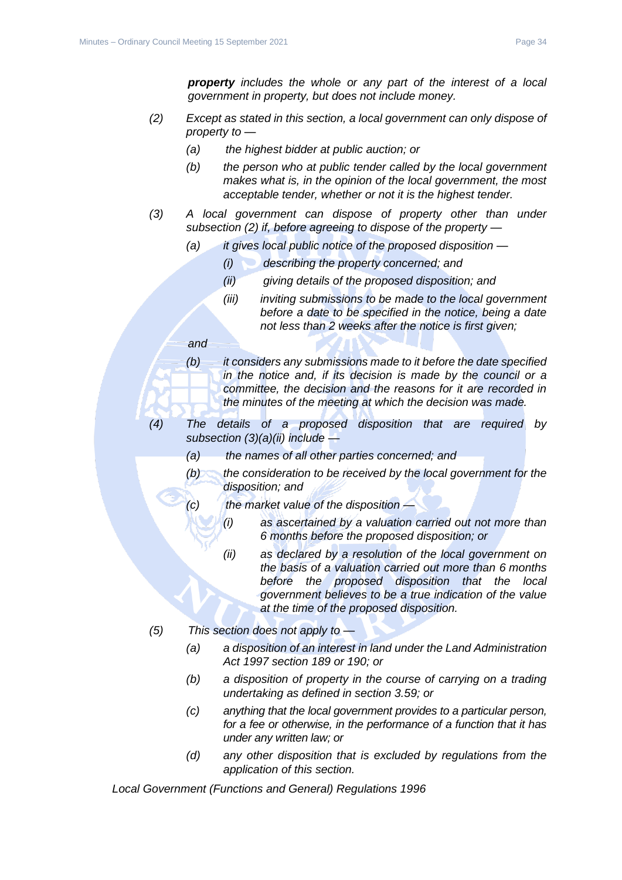*property includes the whole or any part of the interest of a local government in property, but does not include money.*

- *(2) Except as stated in this section, a local government can only dispose of property to —*
	- *(a) the highest bidder at public auction; or*
	- *(b) the person who at public tender called by the local government makes what is, in the opinion of the local government, the most acceptable tender, whether or not it is the highest tender.*
- *(3) A local government can dispose of property other than under subsection (2) if, before agreeing to dispose of the property —*
	- *(a) it gives local public notice of the proposed disposition —*
		- *(i) describing the property concerned; and*
		- *(ii) giving details of the proposed disposition; and*
		- *(iii) inviting submissions to be made to the local government before a date to be specified in the notice, being a date not less than 2 weeks after the notice is first given;*

#### *and*

- *(b) it considers any submissions made to it before the date specified in the notice and, if its decision is made by the council or a committee, the decision and the reasons for it are recorded in the minutes of the meeting at which the decision was made.*
- *(4) The details of a proposed disposition that are required by subsection (3)(a)(ii) include —*
	- *(a) the names of all other parties concerned; and*
	- *(b) the consideration to be received by the local government for the disposition; and*
	- *(c) the market value of the disposition —*
		- *(i) as ascertained by a valuation carried out not more than 6 months before the proposed disposition; or*
			- *(ii) as declared by a resolution of the local government on the basis of a valuation carried out more than 6 months before the proposed disposition that the local government believes to be a true indication of the value at the time of the proposed disposition.*
- *(5) This section does not apply to —*
	- *(a) a disposition of an interest in land under the Land Administration Act 1997 section 189 or 190; or*
	- *(b) a disposition of property in the course of carrying on a trading undertaking as defined in section 3.59; or*
	- *(c) anything that the local government provides to a particular person, for a fee or otherwise, in the performance of a function that it has under any written law; or*
	- *(d) any other disposition that is excluded by regulations from the application of this section.*

*Local Government (Functions and General) Regulations 1996*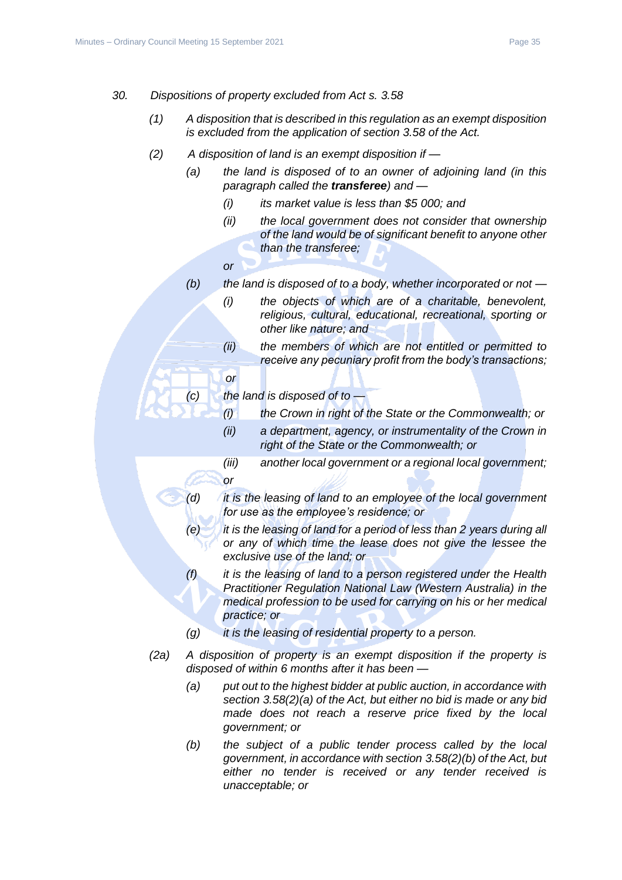- *30. Dispositions of property excluded from Act s. 3.58*
	- *(1) A disposition that is described in this regulation as an exempt disposition is excluded from the application of section 3.58 of the Act.*
	- *(2) A disposition of land is an exempt disposition if —*
		- *(a) the land is disposed of to an owner of adjoining land (in this paragraph called the transferee) and —*
			- *(i) its market value is less than \$5 000; and*
			- *(ii) the local government does not consider that ownership of the land would be of significant benefit to anyone other than the transferee;*
			- *or*

*or*

- *(b) the land is disposed of to a body, whether incorporated or not —*
	- *(i) the objects of which are of a charitable, benevolent, religious, cultural, educational, recreational, sporting or other like nature; and*
	- *(ii) the members of which are not entitled or permitted to receive any pecuniary profit from the body's transactions;*
- *(c) the land is disposed of to —*
	- *(i) the Crown in right of the State or the Commonwealth; or*
	- *(ii) a department, agency, or instrumentality of the Crown in right of the State or the Commonwealth; or*
	- *(iii) another local government or a regional local government; or*
- *(d) it is the leasing of land to an employee of the local government for use as the employee's residence; or*
- *(e) it is the leasing of land for a period of less than 2 years during all or any of which time the lease does not give the lessee the exclusive use of the land; or*
- *(f) it is the leasing of land to a person registered under the Health Practitioner Regulation National Law (Western Australia) in the medical profession to be used for carrying on his or her medical practice; or*
- *(g) it is the leasing of residential property to a person.*
- *(2a) A disposition of property is an exempt disposition if the property is disposed of within 6 months after it has been —*
	- *(a) put out to the highest bidder at public auction, in accordance with section 3.58(2)(a) of the Act, but either no bid is made or any bid made does not reach a reserve price fixed by the local government; or*
	- *(b) the subject of a public tender process called by the local government, in accordance with section 3.58(2)(b) of the Act, but either no tender is received or any tender received is unacceptable; or*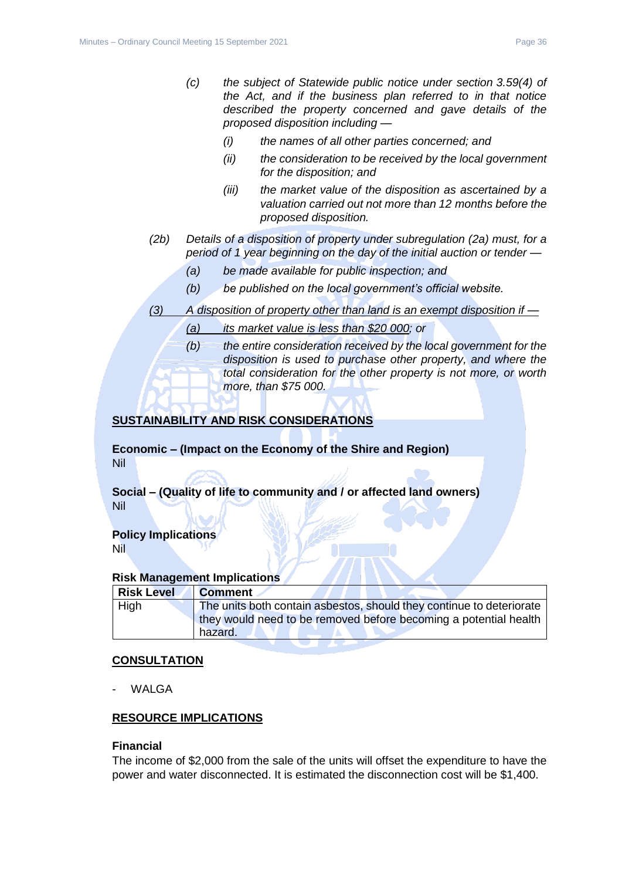- *(i) the names of all other parties concerned; and*
- *(ii) the consideration to be received by the local government for the disposition; and*
- *(iii) the market value of the disposition as ascertained by a valuation carried out not more than 12 months before the proposed disposition.*
- *(2b) Details of a disposition of property under subregulation (2a) must, for a period of 1 year beginning on the day of the initial auction or tender —*
	- *(a) be made available for public inspection; and*
	- *(b) be published on the local government's official website.*
- *(3) A disposition of property other than land is an exempt disposition if —*
	- *(a) its market value is less than \$20 000; or*
	- *(b) the entire consideration received by the local government for the disposition is used to purchase other property, and where the total consideration for the other property is not more, or worth more, than \$75 000.*

# **SUSTAINABILITY AND RISK CONSIDERATIONS**

**Economic – (Impact on the Economy of the Shire and Region)** Nil

**Social – (Quality of life to community and / or affected land owners)** Nil

#### **Policy Implications** Nil

#### **Risk Management Implications**

| <b>Risk Level</b> | <b>Comment</b>                                                              |
|-------------------|-----------------------------------------------------------------------------|
| High              | The units both contain asbestos, should they continue to deteriorate        |
|                   | they would need to be removed before becoming a potential health<br>hazard. |

#### **CONSULTATION**

**WALGA** 

# **RESOURCE IMPLICATIONS**

#### **Financial**

The income of \$2,000 from the sale of the units will offset the expenditure to have the power and water disconnected. It is estimated the disconnection cost will be \$1,400.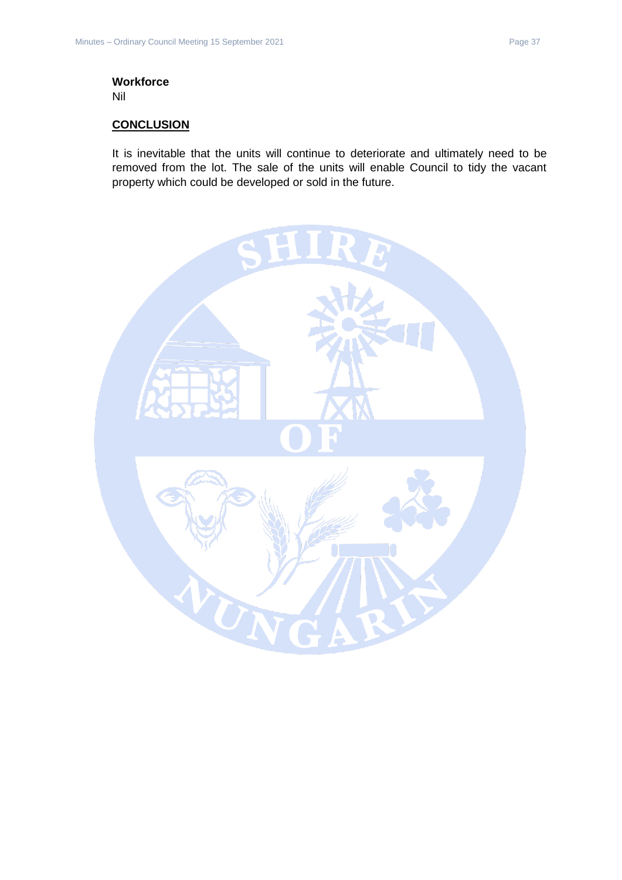# **Workforce**

Nil

# **CONCLUSION**

It is inevitable that the units will continue to deteriorate and ultimately need to be removed from the lot. The sale of the units will enable Council to tidy the vacant property which could be developed or sold in the future.

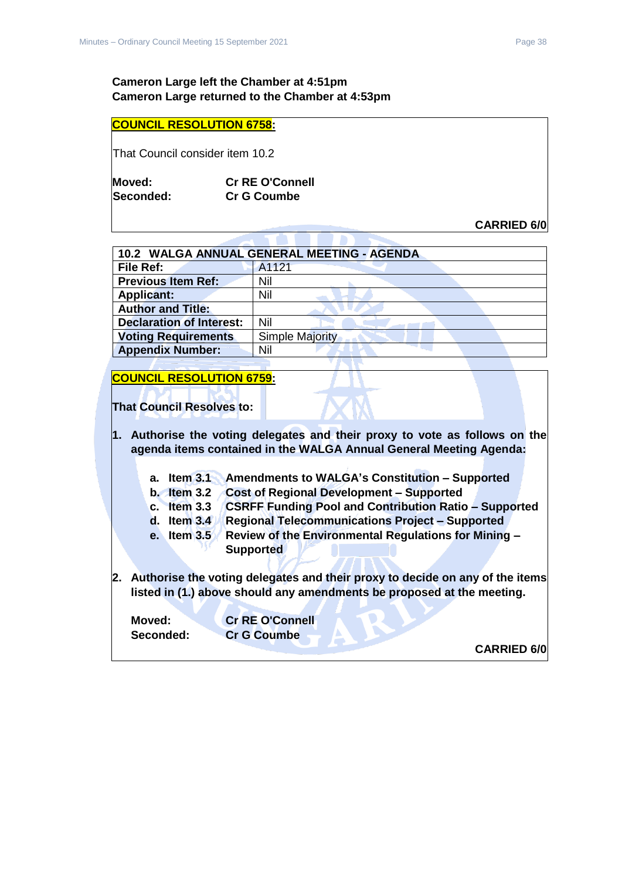# **Cameron Large left the Chamber at 4:51pm Cameron Large returned to the Chamber at 4:53pm**

#### **COUNCIL RESOLUTION 6758:**

That Council consider item 10.2

| Moved:    | <b>Cr RE O'Connell</b> |
|-----------|------------------------|
| Seconded: | <b>Cr G Coumbe</b>     |

**CARRIED 6/0**

<span id="page-37-0"></span>

| 10.2 WALGA ANNUAL GENERAL MEETING - AGENDA |                        |  |
|--------------------------------------------|------------------------|--|
| File Ref:                                  | A1121                  |  |
| <b>Previous Item Ref:</b>                  | Nil                    |  |
| <b>Applicant:</b>                          | Nil                    |  |
| <b>Author and Title:</b>                   |                        |  |
| <b>Declaration of Interest:</b>            | Nil                    |  |
| <b>Voting Requirements</b>                 | <b>Simple Majority</b> |  |
| <b>Appendix Number:</b>                    | Nil                    |  |

# **COUNCIL RESOLUTION 6759:**

**That Council Resolves to:**

**1. Authorise the voting delegates and their proxy to vote as follows on the agenda items contained in the WALGA Annual General Meeting Agenda:**

- **a. Item 3.1 Amendments to WALGA's Constitution – Supported**
- **b. Item 3.2 Cost of Regional Development – Supported**
- **c. Item 3.3 CSRFF Funding Pool and Contribution Ratio – Supported**
	- **d. Item 3.4 Regional Telecommunications Project – Supported**
	- **e. Item 3.5 Review of the Environmental Regulations for Mining – Supported**
- **2. Authorise the voting delegates and their proxy to decide on any of the items listed in (1.) above should any amendments be proposed at the meeting.**

**Moved: Cr RE O'Connell Seconded: Cr G Coumbe**

**CARRIED 6/0**